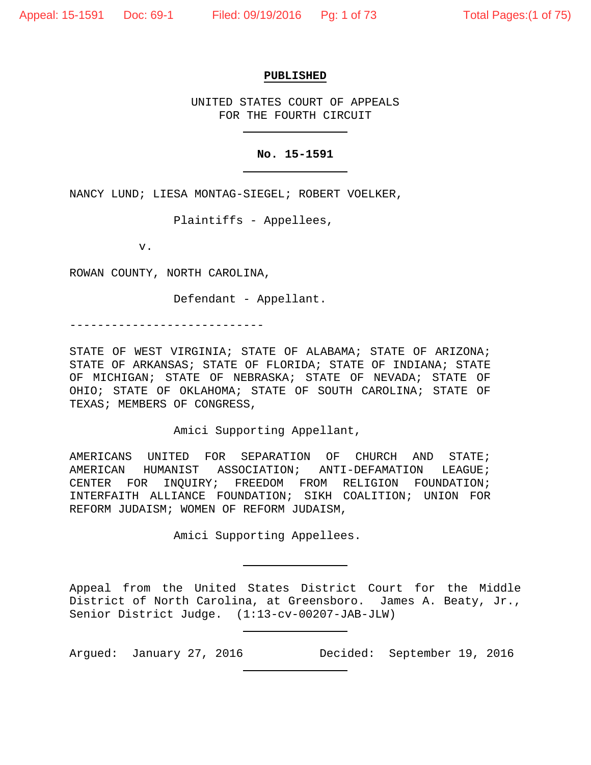#### **PUBLISHED**

UNITED STATES COURT OF APPEALS FOR THE FOURTH CIRCUIT

## **No. 15-1591**

NANCY LUND; LIESA MONTAG-SIEGEL; ROBERT VOELKER,

Plaintiffs - Appellees,

v.

ROWAN COUNTY, NORTH CAROLINA,

Defendant - Appellant.

----------------------------

STATE OF WEST VIRGINIA; STATE OF ALABAMA; STATE OF ARIZONA; STATE OF ARKANSAS; STATE OF FLORIDA; STATE OF INDIANA; STATE OF MICHIGAN; STATE OF NEBRASKA; STATE OF NEVADA; STATE OF OHIO; STATE OF OKLAHOMA; STATE OF SOUTH CAROLINA; STATE OF TEXAS; MEMBERS OF CONGRESS,

Amici Supporting Appellant,

AMERICANS UNITED FOR SEPARATION OF CHURCH AND STATE; AMERICAN HUMANIST ASSOCIATION; ANTI-DEFAMATION LEAGUE; CENTER FOR INQUIRY; FREEDOM FROM RELIGION FOUNDATION; INTERFAITH ALLIANCE FOUNDATION; SIKH COALITION; UNION FOR REFORM JUDAISM; WOMEN OF REFORM JUDAISM,

Amici Supporting Appellees.

Appeal from the United States District Court for the Middle District of North Carolina, at Greensboro. James A. Beaty, Jr., Senior District Judge. (1:13-cv-00207-JAB-JLW)

Argued: January 27, 2016 Decided: September 19, 2016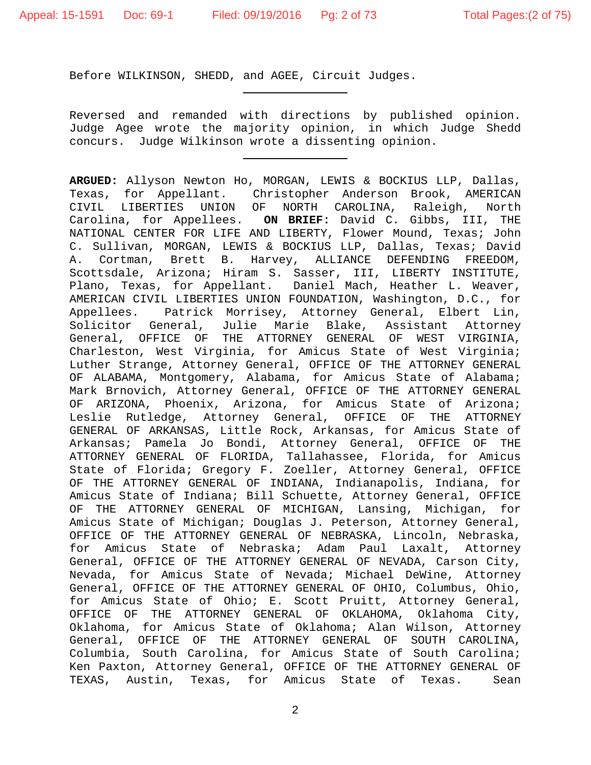Before WILKINSON, SHEDD, and AGEE, Circuit Judges.

Reversed and remanded with directions by published opinion. Judge Agee wrote the majority opinion, in which Judge Shedd concurs. Judge Wilkinson wrote a dissenting opinion.

**ARGUED:** Allyson Newton Ho, MORGAN, LEWIS & BOCKIUS LLP, Dallas, Texas, for Appellant. Christopher Anderson Brook, AMERICAN<br>CIVIL LIBERTIES UNION OF NORTH CAROLINA, Raleigh, North UNION OF NORTH CAROLINA, Raleigh, Carolina, for Appellees. **ON BRIEF:** David C. Gibbs, III, THE NATIONAL CENTER FOR LIFE AND LIBERTY, Flower Mound, Texas; John C. Sullivan, MORGAN, LEWIS & BOCKIUS LLP, Dallas, Texas; David<br>A. Cortman, Brett B. Harvey, ALLIANCE DEFENDING FREEDOM, A. Cortman, Brett B. Harvey, ALLIANCE DEFENDING FREEDOM, Scottsdale, Arizona; Hiram S. Sasser, III, LIBERTY INSTITUTE, Plano, Texas, for Appellant. Daniel Mach, Heather L. Weaver, AMERICAN CIVIL LIBERTIES UNION FOUNDATION, Washington, D.C., for<br>Appellees. Patrick Morrisey, Attorney General, Elbert Lin, Patrick Morrisey, Attorney General, Elbert Lin, Solicitor General, Julie Marie Blake, Assistant Attorney General, OFFICE OF THE ATTORNEY GENERAL OF WEST VIRGINIA, Charleston, West Virginia, for Amicus State of West Virginia; Luther Strange, Attorney General, OFFICE OF THE ATTORNEY GENERAL OF ALABAMA, Montgomery, Alabama, for Amicus State of Alabama; Mark Brnovich, Attorney General, OFFICE OF THE ATTORNEY GENERAL OF ARIZONA, Phoenix, Arizona, for Amicus State of Arizona; Leslie Rutledge, Attorney General, OFFICE OF THE ATTORNEY GENERAL OF ARKANSAS, Little Rock, Arkansas, for Amicus State of Arkansas; Pamela Jo Bondi, Attorney General, OFFICE OF THE ATTORNEY GENERAL OF FLORIDA, Tallahassee, Florida, for Amicus State of Florida; Gregory F. Zoeller, Attorney General, OFFICE OF THE ATTORNEY GENERAL OF INDIANA, Indianapolis, Indiana, for Amicus State of Indiana; Bill Schuette, Attorney General, OFFICE OF THE ATTORNEY GENERAL OF MICHIGAN, Lansing, Michigan, for Amicus State of Michigan; Douglas J. Peterson, Attorney General, OFFICE OF THE ATTORNEY GENERAL OF NEBRASKA, Lincoln, Nebraska, for Amicus State of Nebraska; Adam Paul Laxalt, Attorney General, OFFICE OF THE ATTORNEY GENERAL OF NEVADA, Carson City, Nevada, for Amicus State of Nevada; Michael DeWine, Attorney General, OFFICE OF THE ATTORNEY GENERAL OF OHIO, Columbus, Ohio, for Amicus State of Ohio; E. Scott Pruitt, Attorney General, OFFICE OF THE ATTORNEY GENERAL OF OKLAHOMA, Oklahoma City, Oklahoma, for Amicus State of Oklahoma; Alan Wilson, Attorney General, OFFICE OF THE ATTORNEY GENERAL OF SOUTH CAROLINA, Columbia, South Carolina, for Amicus State of South Carolina; Ken Paxton, Attorney General, OFFICE OF THE ATTORNEY GENERAL OF TEXAS, Austin, Texas, for Amicus State of Texas. Sean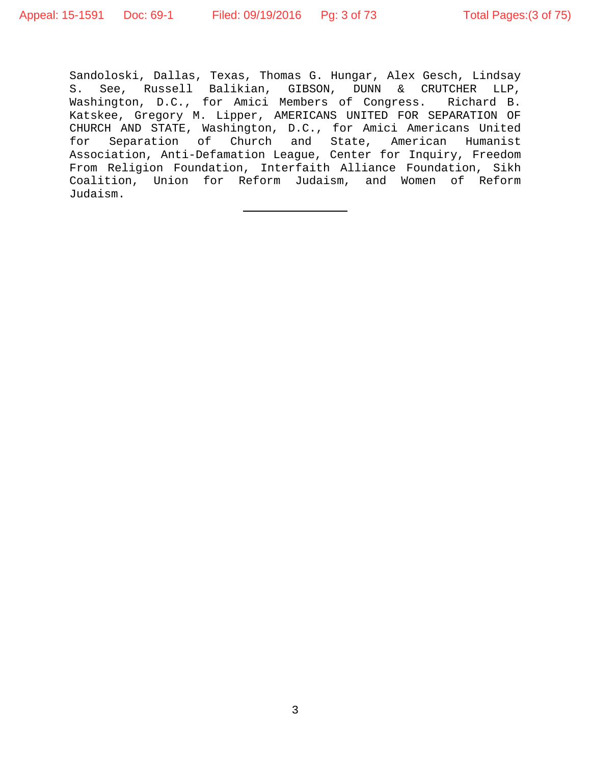Sandoloski, Dallas, Texas, Thomas G. Hungar, Alex Gesch, Lindsay S. See, Russell Balikian, GIBSON, DUNN & CRUTCHER LLP,<br>Washington, D.C., for Amici Members of Congress. Richard B. Washington, D.C., for Amici Members of Congress. Katskee, Gregory M. Lipper, AMERICANS UNITED FOR SEPARATION OF CHURCH AND STATE, Washington, D.C., for Amici Americans United for Separation of Church and State, American Humanist Association, Anti-Defamation League, Center for Inquiry, Freedom From Religion Foundation, Interfaith Alliance Foundation, Sikh Coalition, Union for Reform Judaism, and Women of Reform Judaism.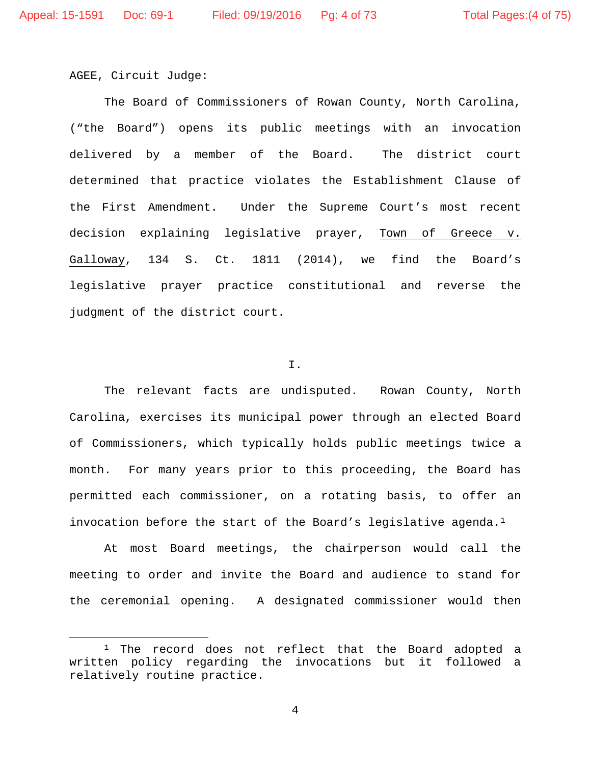AGEE, Circuit Judge:

The Board of Commissioners of Rowan County, North Carolina, ("the Board") opens its public meetings with an invocation delivered by a member of the Board. The district court determined that practice violates the Establishment Clause of the First Amendment. Under the Supreme Court's most recent decision explaining legislative prayer, Town of Greece v. Galloway, 134 S. Ct. 1811 (2014), we find the Board's legislative prayer practice constitutional and reverse the judgment of the district court.

#### I.

The relevant facts are undisputed. Rowan County, North Carolina, exercises its municipal power through an elected Board of Commissioners, which typically holds public meetings twice a month. For many years prior to this proceeding, the Board has permitted each commissioner, on a rotating basis, to offer an invocation before the start of the Board's legislative agenda.<sup>1</sup>

At most Board meetings, the chairperson would call the meeting to order and invite the Board and audience to stand for the ceremonial opening. A designated commissioner would then

<span id="page-3-0"></span><sup>&</sup>lt;sup>1</sup> The record does not reflect that the Board adopted a written policy regarding the invocations but it followed a relatively routine practice.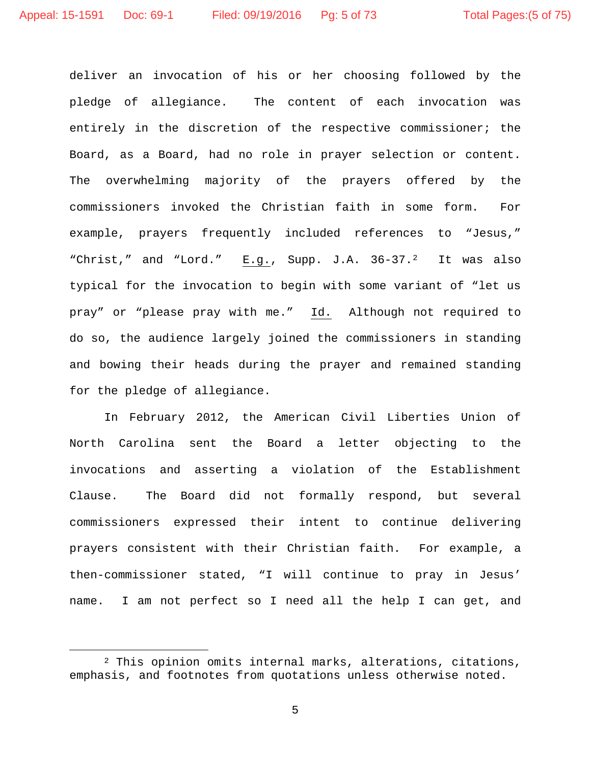deliver an invocation of his or her choosing followed by the pledge of allegiance. The content of each invocation was entirely in the discretion of the respective commissioner; the Board, as a Board, had no role in prayer selection or content. The overwhelming majority of the prayers offered by the commissioners invoked the Christian faith in some form. For example, prayers frequently included references to "Jesus," "Christ," and "Lord." E.g., Supp. J.A. 36-37.<sup>[2](#page-4-0)</sup> It was also typical for the invocation to begin with some variant of "let us pray" or "please pray with me." Id. Although not required to do so, the audience largely joined the commissioners in standing and bowing their heads during the prayer and remained standing for the pledge of allegiance.

In February 2012, the American Civil Liberties Union of North Carolina sent the Board a letter objecting to the invocations and asserting a violation of the Establishment Clause. The Board did not formally respond, but several commissioners expressed their intent to continue delivering prayers consistent with their Christian faith. For example, a then-commissioner stated, "I will continue to pray in Jesus' name. I am not perfect so I need all the help I can get, and

<span id="page-4-0"></span> <sup>2</sup> This opinion omits internal marks, alterations, citations, emphasis, and footnotes from quotations unless otherwise noted.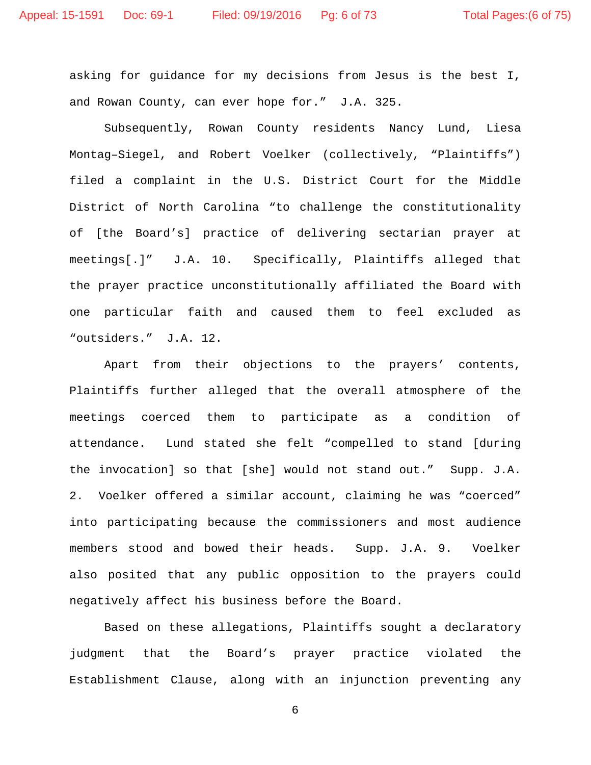asking for guidance for my decisions from Jesus is the best I, and Rowan County, can ever hope for." J.A. 325.

Subsequently, Rowan County residents Nancy Lund, Liesa Montag–Siegel, and Robert Voelker (collectively, "Plaintiffs") filed a complaint in the U.S. District Court for the Middle District of North Carolina "to challenge the constitutionality of [the Board's] practice of delivering sectarian prayer at meetings[.]" J.A. 10. Specifically, Plaintiffs alleged that the prayer practice unconstitutionally affiliated the Board with one particular faith and caused them to feel excluded as "outsiders." J.A. 12.

Apart from their objections to the prayers' contents, Plaintiffs further alleged that the overall atmosphere of the meetings coerced them to participate as a condition of attendance. Lund stated she felt "compelled to stand [during the invocation] so that [she] would not stand out." Supp. J.A. 2. Voelker offered a similar account, claiming he was "coerced" into participating because the commissioners and most audience members stood and bowed their heads. Supp. J.A. 9. Voelker also posited that any public opposition to the prayers could negatively affect his business before the Board.

Based on these allegations, Plaintiffs sought a declaratory judgment that the Board's prayer practice violated the Establishment Clause, along with an injunction preventing any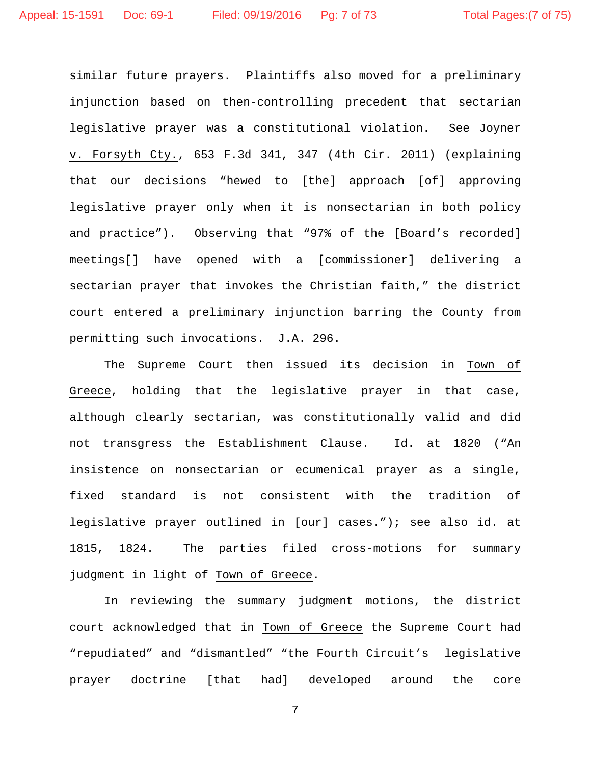similar future prayers. Plaintiffs also moved for a preliminary injunction based on then-controlling precedent that sectarian legislative prayer was a constitutional violation. See Joyner v. Forsyth Cty., 653 F.3d 341, 347 (4th Cir. 2011) (explaining that our decisions "hewed to [the] approach [of] approving legislative prayer only when it is nonsectarian in both policy and practice"). Observing that "97% of the [Board's recorded] meetings[] have opened with a [commissioner] delivering a sectarian prayer that invokes the Christian faith," the district court entered a preliminary injunction barring the County from permitting such invocations. J.A. 296.

The Supreme Court then issued its decision in Town of Greece, holding that the legislative prayer in that case, although clearly sectarian, was constitutionally valid and did not transgress the Establishment Clause. Id. at 1820 ("An insistence on nonsectarian or ecumenical prayer as a single, fixed standard is not consistent with the tradition of legislative prayer outlined in [our] cases."); see also id. at 1815, 1824. The parties filed cross-motions for summary judgment in light of Town of Greece.

In reviewing the summary judgment motions, the district court acknowledged that in Town of Greece the Supreme Court had "repudiated" and "dismantled" "the Fourth Circuit's legislative prayer doctrine [that had] developed around the core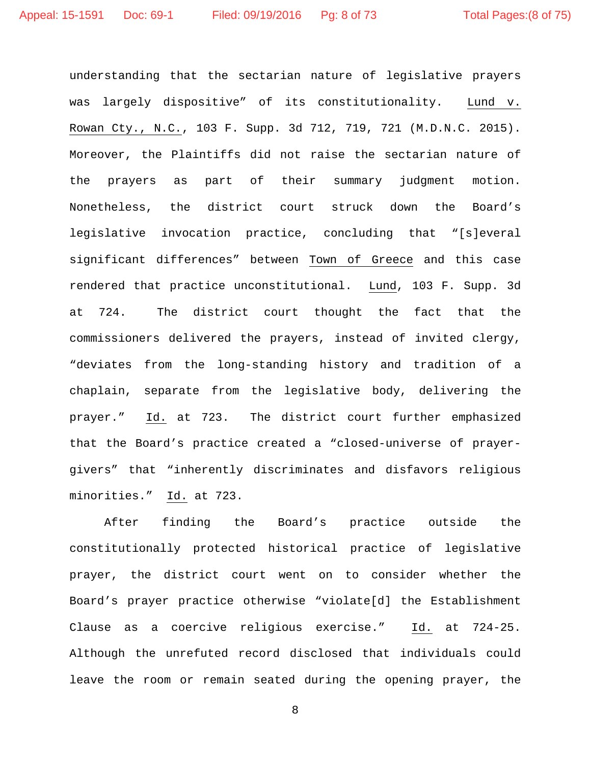understanding that the sectarian nature of legislative prayers was largely dispositive" of its constitutionality. Lund v. Rowan Cty., N.C., 103 F. Supp. 3d 712, 719, 721 (M.D.N.C. 2015). Moreover, the Plaintiffs did not raise the sectarian nature of the prayers as part of their summary judgment motion. Nonetheless, the district court struck down the Board's legislative invocation practice, concluding that "[s]everal significant differences" between Town of Greece and this case rendered that practice unconstitutional. Lund, 103 F. Supp. 3d at 724. The district court thought the fact that the commissioners delivered the prayers, instead of invited clergy, "deviates from the long-standing history and tradition of a chaplain, separate from the legislative body, delivering the prayer." Id. at 723. The district court further emphasized that the Board's practice created a "closed-universe of prayergivers" that "inherently discriminates and disfavors religious minorities." Id. at 723.

After finding the Board's practice outside the constitutionally protected historical practice of legislative prayer, the district court went on to consider whether the Board's prayer practice otherwise "violate[d] the Establishment Clause as a coercive religious exercise." Id. at 724-25. Although the unrefuted record disclosed that individuals could leave the room or remain seated during the opening prayer, the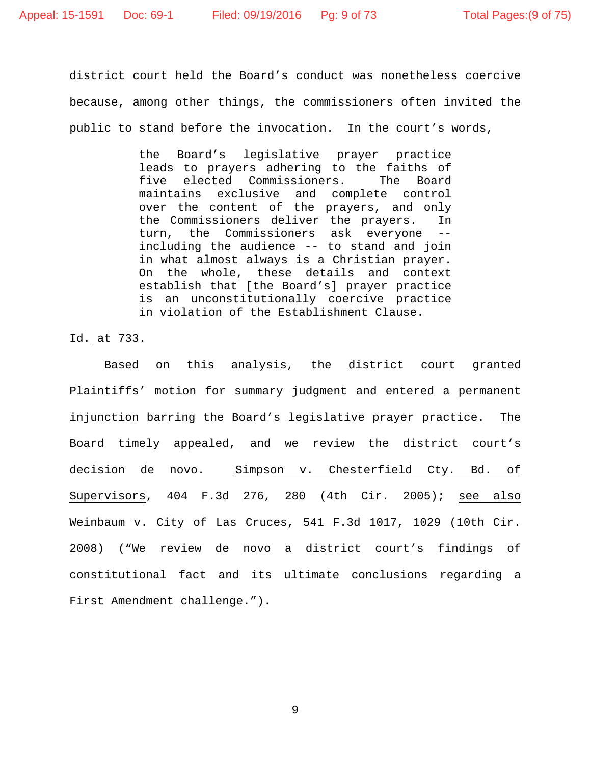district court held the Board's conduct was nonetheless coercive because, among other things, the commissioners often invited the public to stand before the invocation. In the court's words,

> the Board's legislative prayer practice leads to prayers adhering to the faiths of<br>five elected Commissioners. The Board five elected Commissioners. maintains exclusive and complete control over the content of the prayers, and only the Commissioners deliver the prayers. In turn, the Commissioners ask everyone - including the audience -- to stand and join in what almost always is a Christian prayer. On the whole, these details and context establish that [the Board's] prayer practice is an unconstitutionally coercive practice in violation of the Establishment Clause.

Id. at 733.

Based on this analysis, the district court granted Plaintiffs' motion for summary judgment and entered a permanent injunction barring the Board's legislative prayer practice. The Board timely appealed, and we review the district court's decision de novo. Simpson v. Chesterfield Cty. Bd. of Supervisors, 404 F.3d 276, 280 (4th Cir. 2005); see also Weinbaum v. City of Las Cruces, 541 F.3d 1017, 1029 (10th Cir. 2008) ("We review de novo a district court's findings of constitutional fact and its ultimate conclusions regarding a First Amendment challenge.").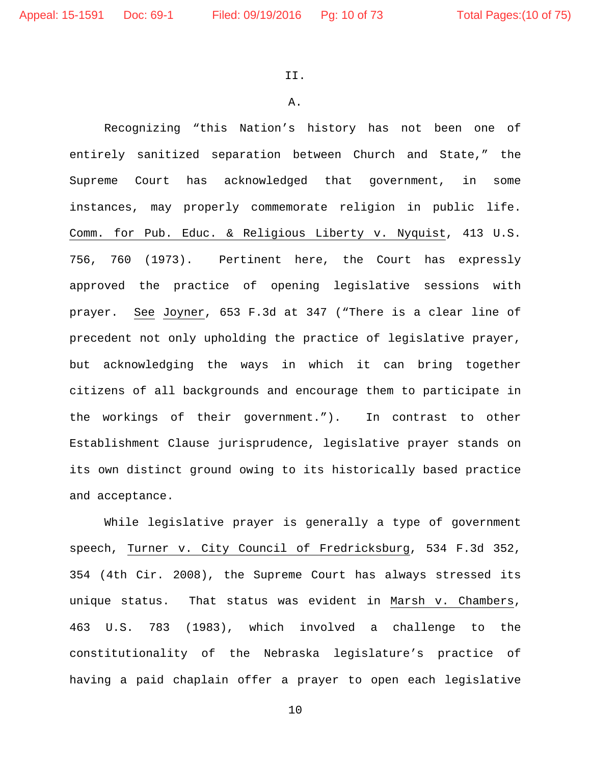II.

A.

Recognizing "this Nation's history has not been one of entirely sanitized separation between Church and State," the Supreme Court has acknowledged that government, in some instances, may properly commemorate religion in public life. Comm. for Pub. Educ. & Religious Liberty v. Nyquist, 413 U.S. 756, 760 (1973). Pertinent here, the Court has expressly approved the practice of opening legislative sessions with prayer. See Joyner, 653 F.3d at 347 ("There is a clear line of precedent not only upholding the practice of legislative prayer, but acknowledging the ways in which it can bring together citizens of all backgrounds and encourage them to participate in the workings of their government."). In contrast to other Establishment Clause jurisprudence, legislative prayer stands on its own distinct ground owing to its historically based practice and acceptance.

While legislative prayer is generally a type of government speech, Turner v. City Council of Fredricksburg, 534 F.3d 352, 354 (4th Cir. 2008), the Supreme Court has always stressed its unique status. That status was evident in Marsh v. Chambers, 463 U.S. 783 (1983), which involved a challenge to the constitutionality of the Nebraska legislature's practice of having a paid chaplain offer a prayer to open each legislative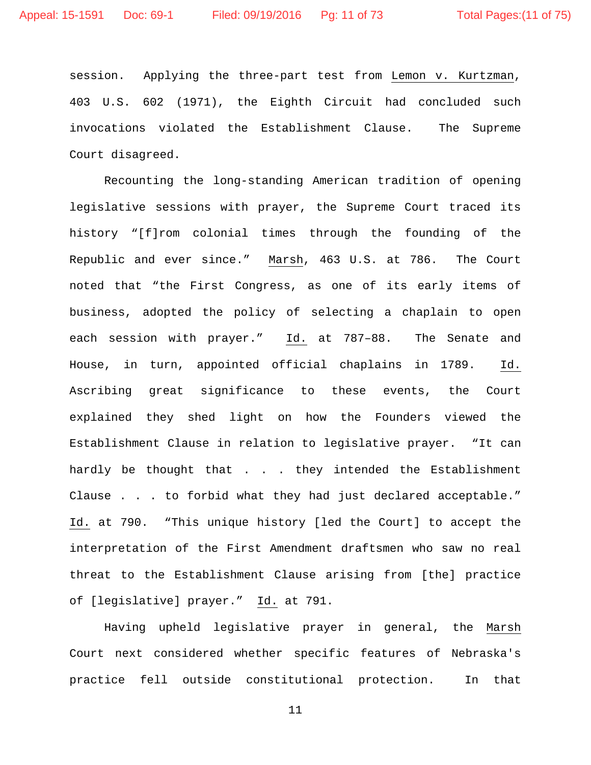session. Applying the three-part test from Lemon v. Kurtzman, 403 U.S. 602 (1971), the Eighth Circuit had concluded such invocations violated the Establishment Clause. The Supreme Court disagreed.

Recounting the long-standing American tradition of opening legislative sessions with prayer, the Supreme Court traced its history "[f]rom colonial times through the founding of the Republic and ever since." Marsh, 463 U.S. at 786. The Court noted that "the First Congress, as one of its early items of business, adopted the policy of selecting a chaplain to open each session with prayer." Id. at 787–88. The Senate and House, in turn, appointed official chaplains in 1789. Id. Ascribing great significance to these events, the Court explained they shed light on how the Founders viewed the Establishment Clause in relation to legislative prayer. "It can hardly be thought that . . . they intended the Establishment Clause . . . to forbid what they had just declared acceptable." Id. at 790. "This unique history [led the Court] to accept the interpretation of the First Amendment draftsmen who saw no real threat to the Establishment Clause arising from [the] practice of [legislative] prayer." Id. at 791.

Having upheld legislative prayer in general, the Marsh Court next considered whether specific features of Nebraska's practice fell outside constitutional protection. In that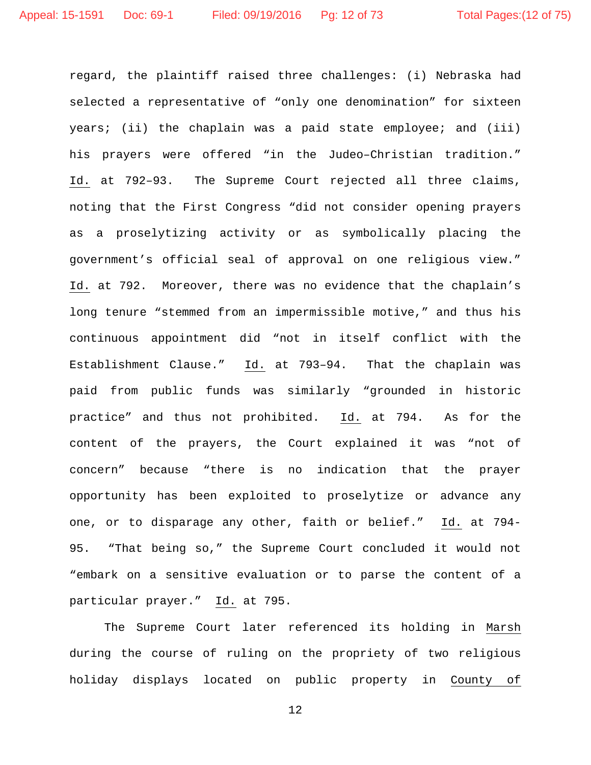regard, the plaintiff raised three challenges: (i) Nebraska had selected a representative of "only one denomination" for sixteen years; (ii) the chaplain was a paid state employee; and (iii) his prayers were offered "in the Judeo–Christian tradition." Id. at 792–93. The Supreme Court rejected all three claims, noting that the First Congress "did not consider opening prayers as a proselytizing activity or as symbolically placing the government's official seal of approval on one religious view." Id. at 792. Moreover, there was no evidence that the chaplain's long tenure "stemmed from an impermissible motive," and thus his continuous appointment did "not in itself conflict with the Establishment Clause." Id. at 793–94. That the chaplain was paid from public funds was similarly "grounded in historic practice" and thus not prohibited. Id. at 794. As for the content of the prayers, the Court explained it was "not of concern" because "there is no indication that the prayer opportunity has been exploited to proselytize or advance any one, or to disparage any other, faith or belief." Id. at 794- 95. "That being so," the Supreme Court concluded it would not "embark on a sensitive evaluation or to parse the content of a particular prayer." Id. at 795.

The Supreme Court later referenced its holding in Marsh during the course of ruling on the propriety of two religious holiday displays located on public property in County of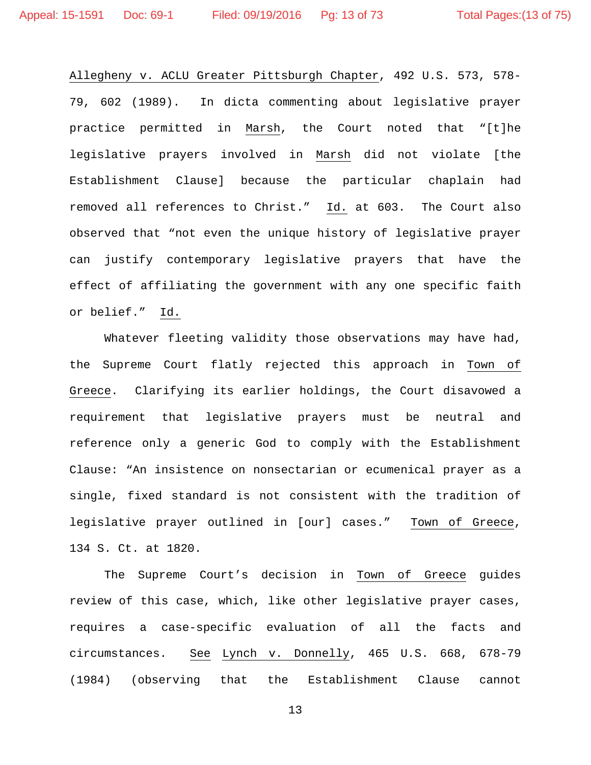Allegheny v. ACLU Greater Pittsburgh Chapter, 492 U.S. 573, 578- 79, 602 (1989). In dicta commenting about legislative prayer practice permitted in Marsh, the Court noted that "[t]he legislative prayers involved in Marsh did not violate [the Establishment Clause] because the particular chaplain had removed all references to Christ." Id. at 603. The Court also observed that "not even the unique history of legislative prayer can justify contemporary legislative prayers that have the effect of affiliating the government with any one specific faith or belief." Id.

Whatever fleeting validity those observations may have had, the Supreme Court flatly rejected this approach in Town of Greece. Clarifying its earlier holdings, the Court disavowed a requirement that legislative prayers must be neutral and reference only a generic God to comply with the Establishment Clause: "An insistence on nonsectarian or ecumenical prayer as a single, fixed standard is not consistent with the tradition of legislative prayer outlined in [our] cases." Town of Greece, 134 S. Ct. at 1820.

The Supreme Court's decision in Town of Greece guides review of this case, which, like other legislative prayer cases, requires a case-specific evaluation of all the facts and circumstances. See Lynch v. Donnelly, 465 U.S. 668, 678-79 (1984) (observing that the Establishment Clause cannot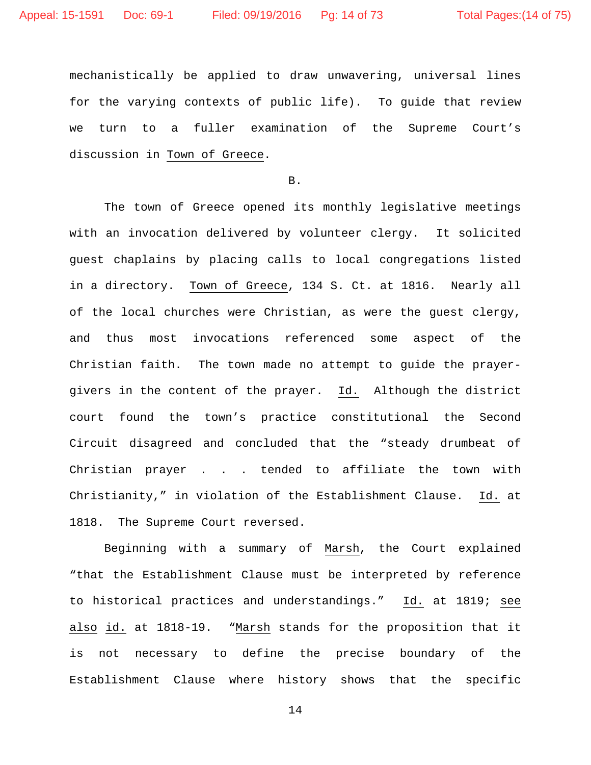mechanistically be applied to draw unwavering, universal lines for the varying contexts of public life). To guide that review we turn to a fuller examination of the Supreme Court's discussion in Town of Greece.

B.

The town of Greece opened its monthly legislative meetings with an invocation delivered by volunteer clergy. It solicited guest chaplains by placing calls to local congregations listed in a directory. Town of Greece, 134 S. Ct. at 1816. Nearly all of the local churches were Christian, as were the guest clergy, and thus most invocations referenced some aspect of the Christian faith. The town made no attempt to guide the prayergivers in the content of the prayer. Id. Although the district court found the town's practice constitutional the Second Circuit disagreed and concluded that the "steady drumbeat of Christian prayer . . . tended to affiliate the town with Christianity," in violation of the Establishment Clause. Id. at 1818. The Supreme Court reversed.

Beginning with a summary of Marsh, the Court explained "that the Establishment Clause must be interpreted by reference to historical practices and understandings." Id. at 1819; see also id. at 1818-19. "Marsh stands for the proposition that it is not necessary to define the precise boundary of the Establishment Clause where history shows that the specific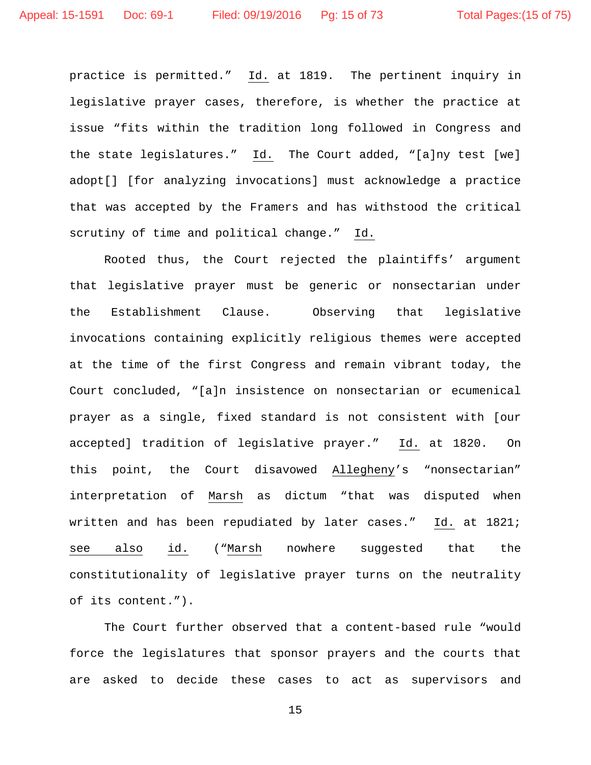practice is permitted." Id. at 1819. The pertinent inquiry in legislative prayer cases, therefore, is whether the practice at issue "fits within the tradition long followed in Congress and the state legislatures." Id. The Court added, "[a]ny test [we] adopt[] [for analyzing invocations] must acknowledge a practice that was accepted by the Framers and has withstood the critical scrutiny of time and political change." Id.

Rooted thus, the Court rejected the plaintiffs' argument that legislative prayer must be generic or nonsectarian under the Establishment Clause. Observing that legislative invocations containing explicitly religious themes were accepted at the time of the first Congress and remain vibrant today, the Court concluded, "[a]n insistence on nonsectarian or ecumenical prayer as a single, fixed standard is not consistent with [our accepted] tradition of legislative prayer." Id. at 1820. On this point, the Court disavowed Allegheny's "nonsectarian" interpretation of Marsh as dictum "that was disputed when written and has been repudiated by later cases." Id. at 1821; see also id. ("Marsh nowhere suggested that the constitutionality of legislative prayer turns on the neutrality of its content.").

The Court further observed that a content-based rule "would force the legislatures that sponsor prayers and the courts that are asked to decide these cases to act as supervisors and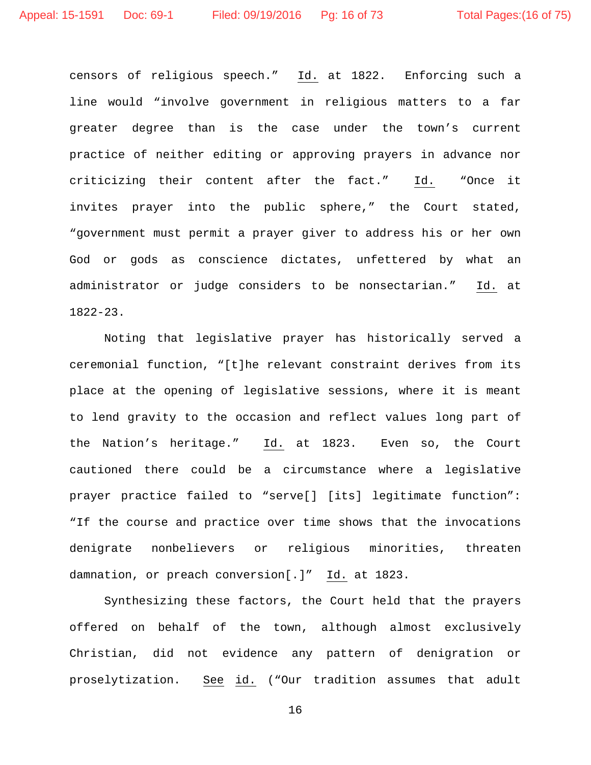censors of religious speech." Id. at 1822. Enforcing such a line would "involve government in religious matters to a far greater degree than is the case under the town's current practice of neither editing or approving prayers in advance nor criticizing their content after the fact." Id. "Once it invites prayer into the public sphere," the Court stated, "government must permit a prayer giver to address his or her own God or gods as conscience dictates, unfettered by what an administrator or judge considers to be nonsectarian." Id. at 1822-23.

Noting that legislative prayer has historically served a ceremonial function, "[t]he relevant constraint derives from its place at the opening of legislative sessions, where it is meant to lend gravity to the occasion and reflect values long part of the Nation's heritage." Id. at 1823. Even so, the Court cautioned there could be a circumstance where a legislative prayer practice failed to "serve[] [its] legitimate function": "If the course and practice over time shows that the invocations denigrate nonbelievers or religious minorities, threaten damnation, or preach conversion[.]" Id. at 1823.

Synthesizing these factors, the Court held that the prayers offered on behalf of the town, although almost exclusively Christian, did not evidence any pattern of denigration or proselytization. See id. ("Our tradition assumes that adult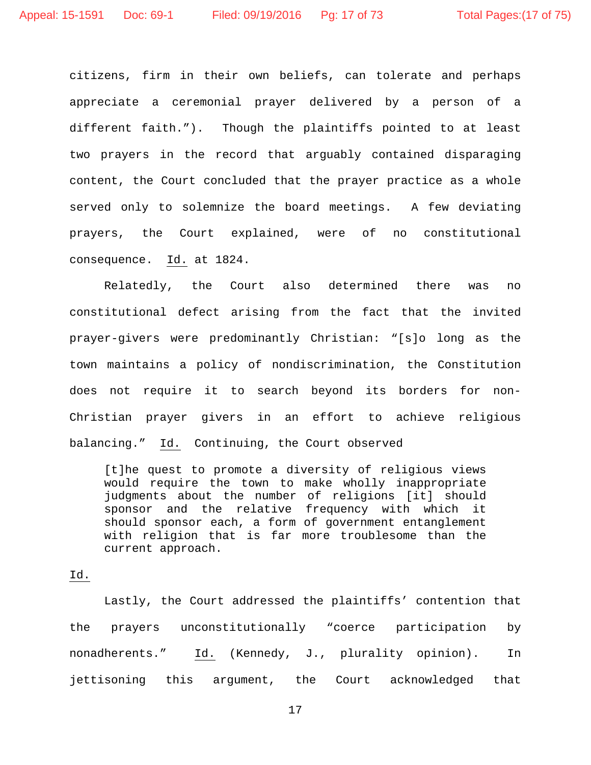citizens, firm in their own beliefs, can tolerate and perhaps appreciate a ceremonial prayer delivered by a person of a different faith."). Though the plaintiffs pointed to at least two prayers in the record that arguably contained disparaging content, the Court concluded that the prayer practice as a whole served only to solemnize the board meetings. A few deviating prayers, the Court explained, were of no constitutional consequence. Id. at 1824.

Relatedly, the Court also determined there was no constitutional defect arising from the fact that the invited prayer-givers were predominantly Christian: "[s]o long as the town maintains a policy of nondiscrimination, the Constitution does not require it to search beyond its borders for non-Christian prayer givers in an effort to achieve religious balancing." Id. Continuing, the Court observed

[t]he quest to promote a diversity of religious views would require the town to make wholly inappropriate judgments about the number of religions [it] should sponsor and the relative frequency with which it should sponsor each, a form of government entanglement with religion that is far more troublesome than the current approach.

## Id.

Lastly, the Court addressed the plaintiffs' contention that the prayers unconstitutionally "coerce participation by nonadherents." Id. (Kennedy, J., plurality opinion). In jettisoning this argument, the Court acknowledged that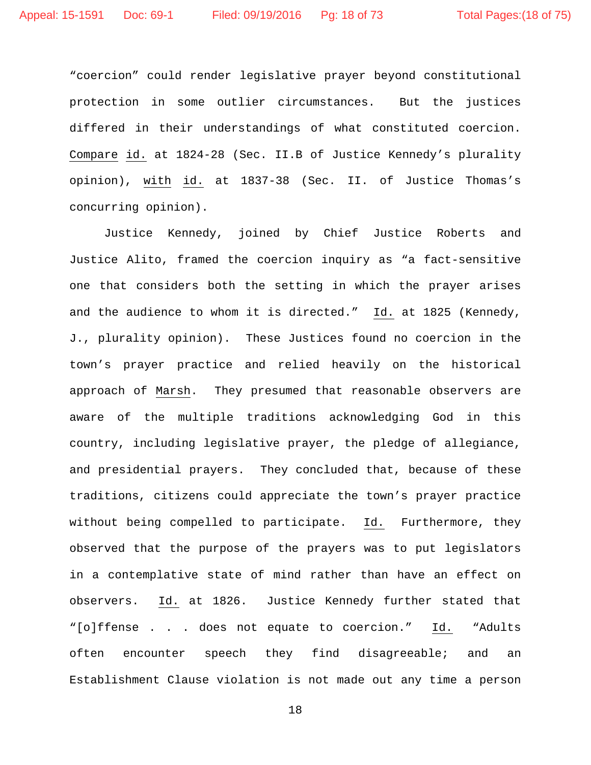"coercion" could render legislative prayer beyond constitutional protection in some outlier circumstances. But the justices differed in their understandings of what constituted coercion. Compare id. at 1824-28 (Sec. II.B of Justice Kennedy's plurality opinion), with id. at 1837-38 (Sec. II. of Justice Thomas's concurring opinion).

Justice Kennedy, joined by Chief Justice Roberts and Justice Alito, framed the coercion inquiry as "a fact-sensitive one that considers both the setting in which the prayer arises and the audience to whom it is directed." Id. at 1825 (Kennedy, J., plurality opinion). These Justices found no coercion in the town's prayer practice and relied heavily on the historical approach of Marsh. They presumed that reasonable observers are aware of the multiple traditions acknowledging God in this country, including legislative prayer, the pledge of allegiance, and presidential prayers. They concluded that, because of these traditions, citizens could appreciate the town's prayer practice without being compelled to participate. Id. Furthermore, they observed that the purpose of the prayers was to put legislators in a contemplative state of mind rather than have an effect on observers. Id. at 1826. Justice Kennedy further stated that "[o]ffense . . . does not equate to coercion." Id. "Adults often encounter speech they find disagreeable; and an Establishment Clause violation is not made out any time a person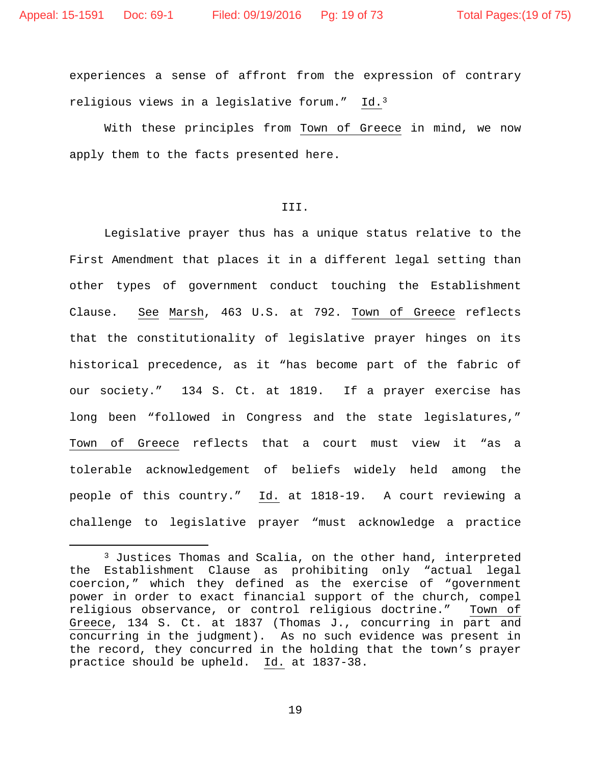experiences a sense of affront from the expression of contrary religious views in a legislative forum." Id[.3](#page-18-0)

With these principles from Town of Greece in mind, we now apply them to the facts presented here.

## III.

Legislative prayer thus has a unique status relative to the First Amendment that places it in a different legal setting than other types of government conduct touching the Establishment Clause. See Marsh, 463 U.S. at 792. Town of Greece reflects that the constitutionality of legislative prayer hinges on its historical precedence, as it "has become part of the fabric of our society." 134 S. Ct. at 1819. If a prayer exercise has long been "followed in Congress and the state legislatures," Town of Greece reflects that a court must view it "as a tolerable acknowledgement of beliefs widely held among the people of this country." Id. at 1818-19. A court reviewing a challenge to legislative prayer "must acknowledge a practice

<span id="page-18-0"></span><sup>&</sup>lt;sup>3</sup> Justices Thomas and Scalia, on the other hand, interpreted the Establishment Clause as prohibiting only "actual legal coercion," which they defined as the exercise of "government power in order to exact financial support of the church, compel religious observance, or control religious doctrine." Town of Greece, 134 S. Ct. at 1837 (Thomas J., concurring in part and concurring in the judgment). As no such evidence was present in the record, they concurred in the holding that the town's prayer practice should be upheld. Id. at 1837-38.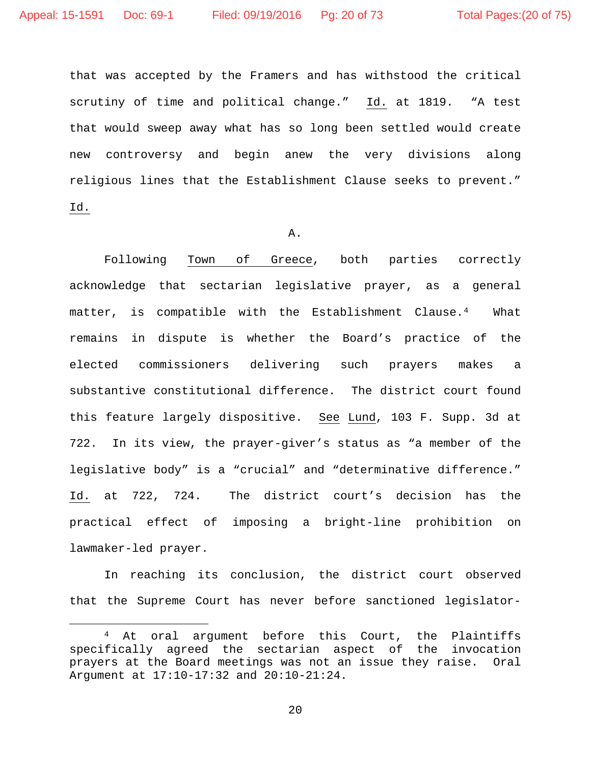that was accepted by the Framers and has withstood the critical scrutiny of time and political change." Id. at 1819. "A test that would sweep away what has so long been settled would create new controversy and begin anew the very divisions along religious lines that the Establishment Clause seeks to prevent." Id.

#### A.

Following Town of Greece, both parties correctly acknowledge that sectarian legislative prayer, as a general matter, is compatible with the Establishment Clause.[4](#page-19-0) What remains in dispute is whether the Board's practice of the elected commissioners delivering such prayers makes a substantive constitutional difference. The district court found this feature largely dispositive. See Lund, 103 F. Supp. 3d at 722. In its view, the prayer-giver's status as "a member of the legislative body" is a "crucial" and "determinative difference." Id. at 722, 724. The district court's decision has the practical effect of imposing a bright-line prohibition on lawmaker-led prayer.

In reaching its conclusion, the district court observed that the Supreme Court has never before sanctioned legislator-

<span id="page-19-0"></span> <sup>4</sup> At oral argument before this Court, the Plaintiffs specifically agreed the sectarian aspect of the invocation prayers at the Board meetings was not an issue they raise. Oral Argument at 17:10-17:32 and 20:10-21:24.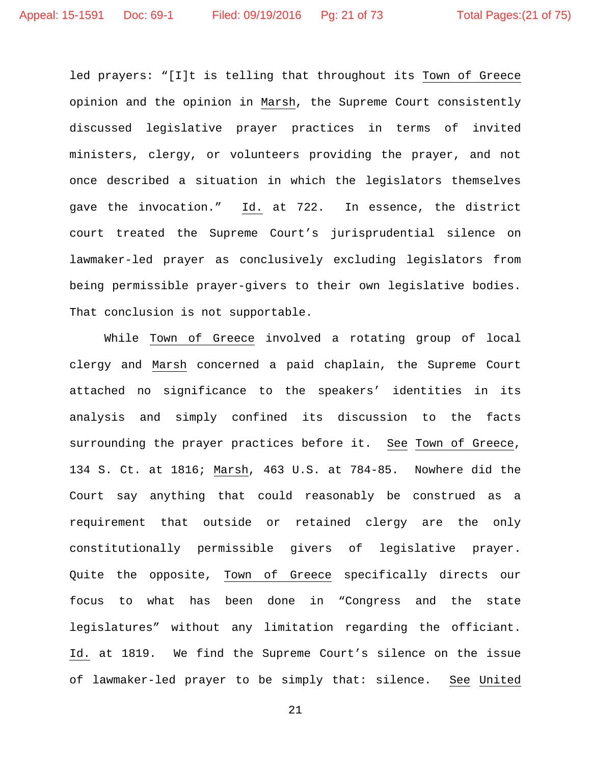led prayers: "[I]t is telling that throughout its Town of Greece opinion and the opinion in Marsh, the Supreme Court consistently discussed legislative prayer practices in terms of invited ministers, clergy, or volunteers providing the prayer, and not once described a situation in which the legislators themselves gave the invocation." Id. at 722. In essence, the district court treated the Supreme Court's jurisprudential silence on lawmaker-led prayer as conclusively excluding legislators from being permissible prayer-givers to their own legislative bodies. That conclusion is not supportable.

While Town of Greece involved a rotating group of local clergy and Marsh concerned a paid chaplain, the Supreme Court attached no significance to the speakers' identities in its analysis and simply confined its discussion to the facts surrounding the prayer practices before it. See Town of Greece, 134 S. Ct. at 1816; Marsh, 463 U.S. at 784-85. Nowhere did the Court say anything that could reasonably be construed as a requirement that outside or retained clergy are the only constitutionally permissible givers of legislative prayer. Quite the opposite, Town of Greece specifically directs our focus to what has been done in "Congress and the state legislatures" without any limitation regarding the officiant. Id. at 1819. We find the Supreme Court's silence on the issue of lawmaker-led prayer to be simply that: silence. See United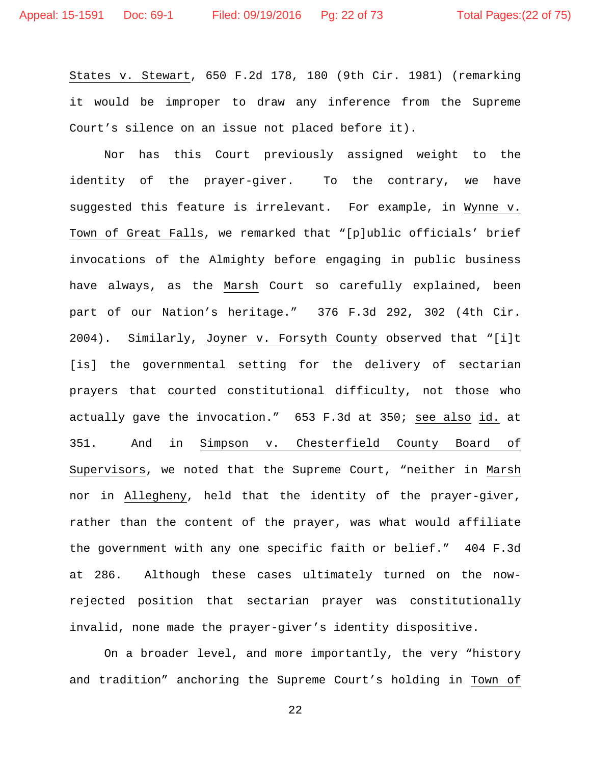States v. Stewart, 650 F.2d 178, 180 (9th Cir. 1981) (remarking it would be improper to draw any inference from the Supreme Court's silence on an issue not placed before it).

Nor has this Court previously assigned weight to the identity of the prayer-giver. To the contrary, we have suggested this feature is irrelevant. For example, in Wynne v. Town of Great Falls, we remarked that "[p]ublic officials' brief invocations of the Almighty before engaging in public business have always, as the Marsh Court so carefully explained, been part of our Nation's heritage." 376 F.3d 292, 302 (4th Cir. 2004). Similarly, Joyner v. Forsyth County observed that "[i]t [is] the governmental setting for the delivery of sectarian prayers that courted constitutional difficulty, not those who actually gave the invocation." 653 F.3d at 350; see also id. at 351. And in Simpson v. Chesterfield County Board of Supervisors, we noted that the Supreme Court, "neither in Marsh nor in Allegheny, held that the identity of the prayer-giver, rather than the content of the prayer, was what would affiliate the government with any one specific faith or belief." 404 F.3d at 286. Although these cases ultimately turned on the nowrejected position that sectarian prayer was constitutionally invalid, none made the prayer-giver's identity dispositive.

On a broader level, and more importantly, the very "history and tradition" anchoring the Supreme Court's holding in Town of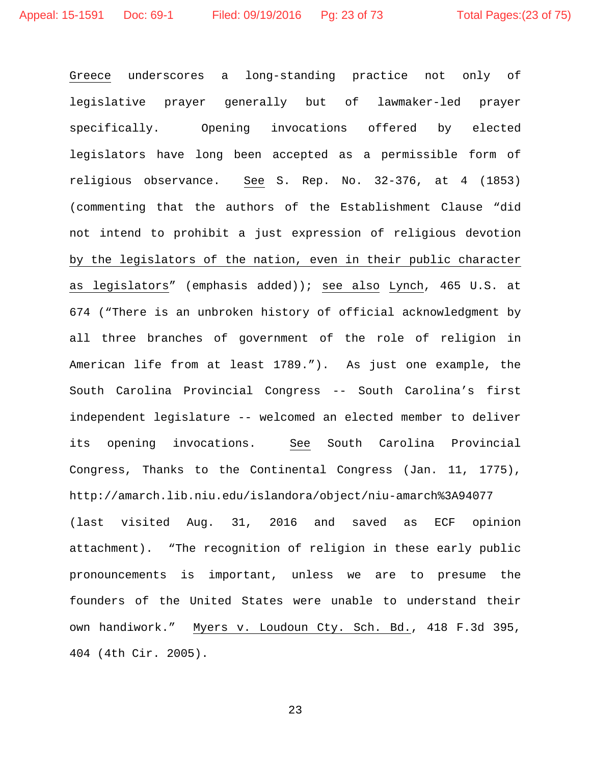Greece underscores a long-standing practice not only of legislative prayer generally but of lawmaker-led prayer specifically. Opening invocations offered by elected legislators have long been accepted as a permissible form of religious observance. See S. Rep. No. 32-376, at 4 (1853) (commenting that the authors of the Establishment Clause "did not intend to prohibit a just expression of religious devotion by the legislators of the nation, even in their public character as legislators" (emphasis added)); see also Lynch, 465 U.S. at 674 ("There is an unbroken history of official acknowledgment by all three branches of government of the role of religion in American life from at least 1789."). As just one example, the South Carolina Provincial Congress -- South Carolina's first independent legislature -- welcomed an elected member to deliver its opening invocations. See South Carolina Provincial Congress, Thanks to the Continental Congress (Jan. 11, 1775), http://amarch.lib.niu.edu/islandora/object/niu-amarch%3A94077 (last visited Aug. 31, 2016 and saved as ECF opinion attachment). "The recognition of religion in these early public pronouncements is important, unless we are to presume the founders of the United States were unable to understand their own handiwork." Myers v. Loudoun Cty. Sch. Bd., 418 F.3d 395, 404 (4th Cir. 2005).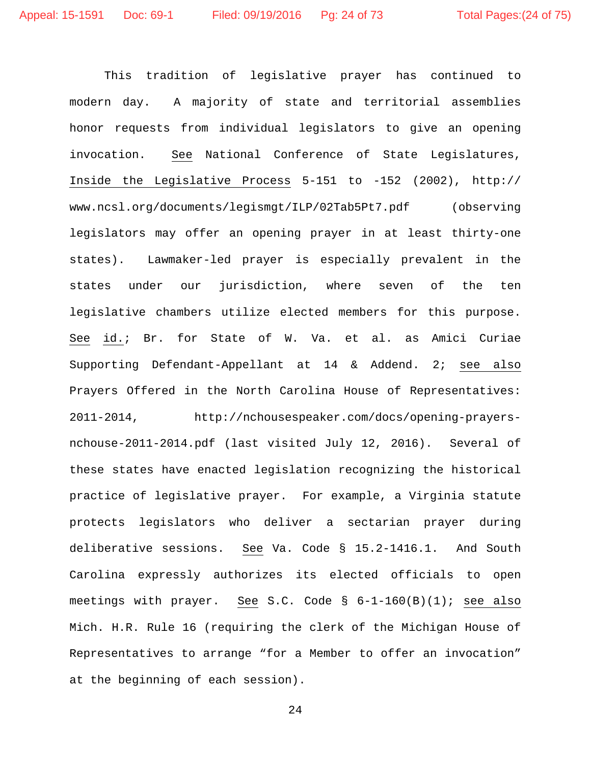This tradition of legislative prayer has continued to modern day. A majority of state and territorial assemblies honor requests from individual legislators to give an opening invocation. See National Conference of State Legislatures, Inside the Legislative Process 5-151 to -152 (2002), http:// www.ncsl.org/documents/legismgt/ILP/02Tab5Pt7.pdf (observing legislators may offer an opening prayer in at least thirty-one states). Lawmaker-led prayer is especially prevalent in the states under our jurisdiction, where seven of the ten legislative chambers utilize elected members for this purpose. See id.; Br. for State of W. Va. et al. as Amici Curiae Supporting Defendant-Appellant at 14 & Addend. 2; see also Prayers Offered in the North Carolina House of Representatives: 2011-2014, http://nchousespeaker.com/docs/opening-prayersnchouse-2011-2014.pdf (last visited July 12, 2016). Several of these states have enacted legislation recognizing the historical practice of legislative prayer. For example, a Virginia statute protects legislators who deliver a sectarian prayer during deliberative sessions. See Va. Code § 15.2-1416.1. And South Carolina expressly authorizes its elected officials to open meetings with prayer. See S.C. Code § 6-1-160(B)(1); see also Mich. H.R. Rule 16 (requiring the clerk of the Michigan House of Representatives to arrange "for a Member to offer an invocation" at the beginning of each session).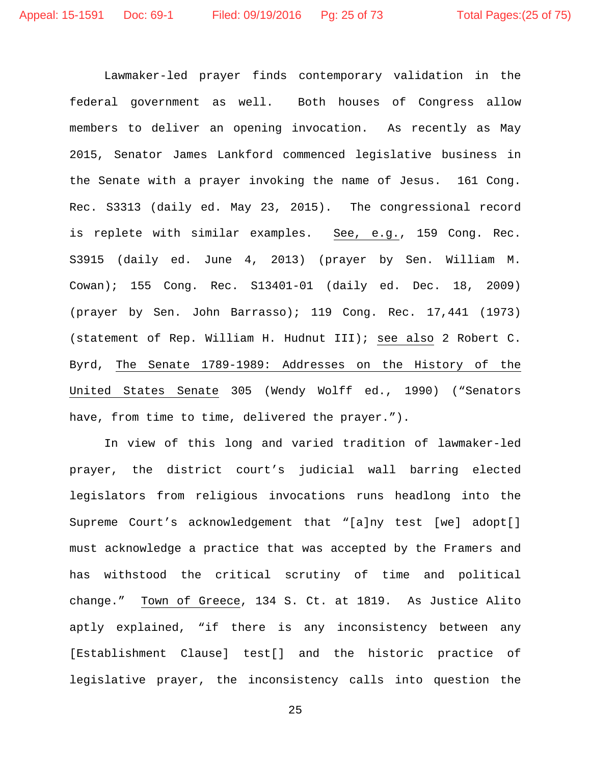Lawmaker-led prayer finds contemporary validation in the federal government as well. Both houses of Congress allow members to deliver an opening invocation. As recently as May 2015, Senator James Lankford commenced legislative business in the Senate with a prayer invoking the name of Jesus. 161 Cong. Rec. S3313 (daily ed. May 23, 2015). The congressional record is replete with similar examples. See, e.g., 159 Cong. Rec. S3915 (daily ed. June 4, 2013) (prayer by Sen. William M. Cowan); 155 Cong. Rec. S13401-01 (daily ed. Dec. 18, 2009) (prayer by Sen. John Barrasso); 119 Cong. Rec. 17,441 (1973) (statement of Rep. William H. Hudnut III); see also 2 Robert C. Byrd, The Senate 1789-1989: Addresses on the History of the United States Senate 305 (Wendy Wolff ed., 1990) ("Senators have, from time to time, delivered the prayer.").

In view of this long and varied tradition of lawmaker-led prayer, the district court's judicial wall barring elected legislators from religious invocations runs headlong into the Supreme Court's acknowledgement that "[a]ny test [we] adopt[] must acknowledge a practice that was accepted by the Framers and has withstood the critical scrutiny of time and political change." Town of Greece, 134 S. Ct. at 1819. As Justice Alito aptly explained, "if there is any inconsistency between any [Establishment Clause] test[] and the historic practice of legislative prayer, the inconsistency calls into question the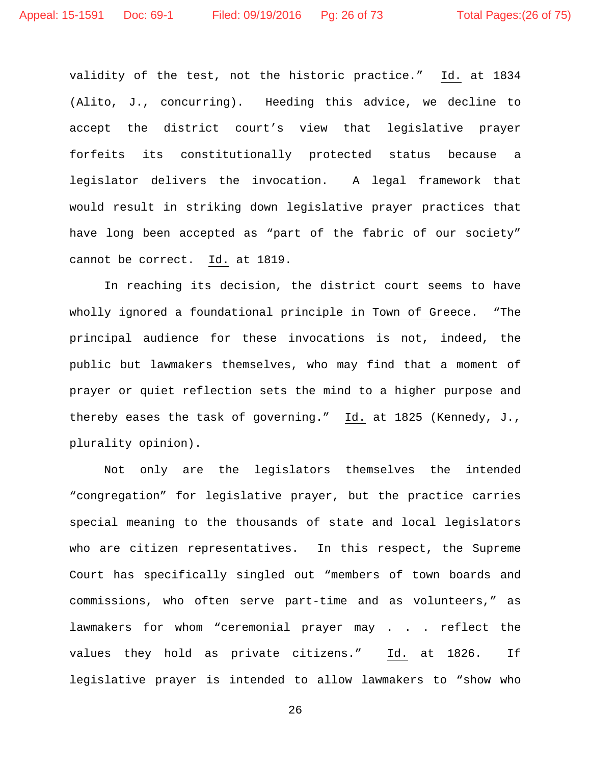validity of the test, not the historic practice." Id. at 1834 (Alito, J., concurring). Heeding this advice, we decline to accept the district court's view that legislative prayer forfeits its constitutionally protected status because a legislator delivers the invocation. A legal framework that would result in striking down legislative prayer practices that have long been accepted as "part of the fabric of our society" cannot be correct. Id. at 1819.

In reaching its decision, the district court seems to have wholly ignored a foundational principle in Town of Greece. "The principal audience for these invocations is not, indeed, the public but lawmakers themselves, who may find that a moment of prayer or quiet reflection sets the mind to a higher purpose and thereby eases the task of governing." Id. at 1825 (Kennedy, J., plurality opinion).

Not only are the legislators themselves the intended "congregation" for legislative prayer, but the practice carries special meaning to the thousands of state and local legislators who are citizen representatives. In this respect, the Supreme Court has specifically singled out "members of town boards and commissions, who often serve part-time and as volunteers," as lawmakers for whom "ceremonial prayer may . . . reflect the values they hold as private citizens." Id. at 1826. If legislative prayer is intended to allow lawmakers to "show who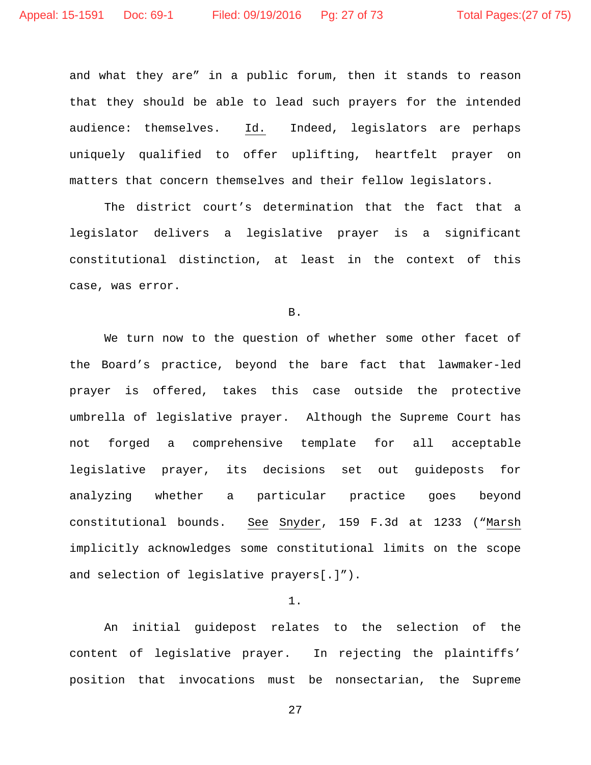and what they are" in a public forum, then it stands to reason that they should be able to lead such prayers for the intended audience: themselves. Id. Indeed, legislators are perhaps uniquely qualified to offer uplifting, heartfelt prayer on matters that concern themselves and their fellow legislators.

The district court's determination that the fact that a legislator delivers a legislative prayer is a significant constitutional distinction, at least in the context of this case, was error.

B.

We turn now to the question of whether some other facet of the Board's practice, beyond the bare fact that lawmaker-led prayer is offered, takes this case outside the protective umbrella of legislative prayer. Although the Supreme Court has not forged a comprehensive template for all acceptable legislative prayer, its decisions set out guideposts for analyzing whether a particular practice goes beyond constitutional bounds. See Snyder, 159 F.3d at 1233 ("Marsh implicitly acknowledges some constitutional limits on the scope and selection of legislative prayers[.]").

# 1.

An initial guidepost relates to the selection of the content of legislative prayer. In rejecting the plaintiffs' position that invocations must be nonsectarian, the Supreme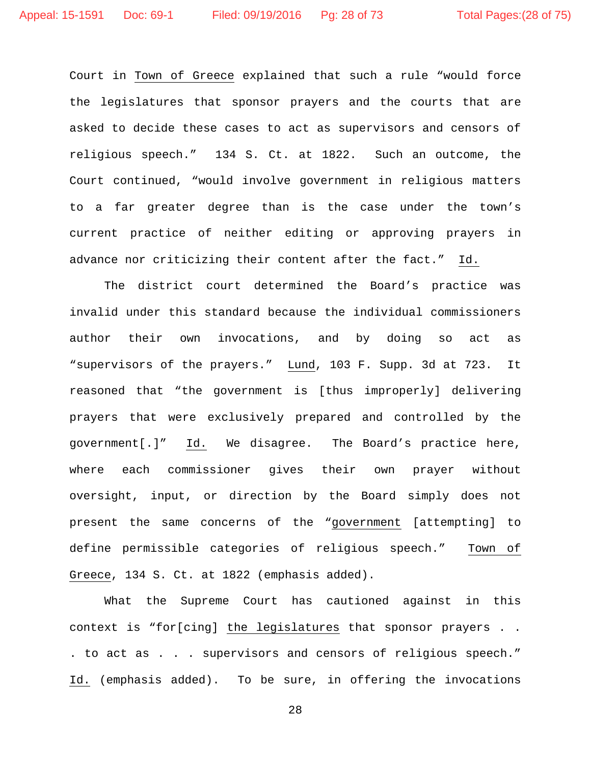Court in Town of Greece explained that such a rule "would force the legislatures that sponsor prayers and the courts that are asked to decide these cases to act as supervisors and censors of religious speech." 134 S. Ct. at 1822. Such an outcome, the Court continued, "would involve government in religious matters to a far greater degree than is the case under the town's current practice of neither editing or approving prayers in advance nor criticizing their content after the fact." Id.

The district court determined the Board's practice was invalid under this standard because the individual commissioners author their own invocations, and by doing so act as "supervisors of the prayers." Lund, 103 F. Supp. 3d at 723. It reasoned that "the government is [thus improperly] delivering prayers that were exclusively prepared and controlled by the government[.]" Id. We disagree. The Board's practice here, where each commissioner gives their own prayer without oversight, input, or direction by the Board simply does not present the same concerns of the "government [attempting] to define permissible categories of religious speech." Town of Greece, 134 S. Ct. at 1822 (emphasis added).

What the Supreme Court has cautioned against in this context is "for[cing] the legislatures that sponsor prayers . . . to act as . . . supervisors and censors of religious speech." Id. (emphasis added). To be sure, in offering the invocations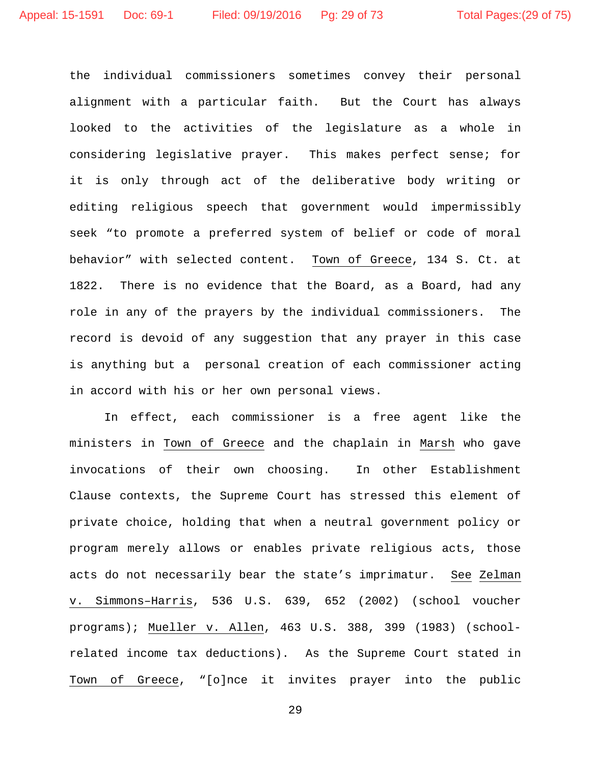the individual commissioners sometimes convey their personal alignment with a particular faith. But the Court has always looked to the activities of the legislature as a whole in considering legislative prayer. This makes perfect sense; for it is only through act of the deliberative body writing or editing religious speech that government would impermissibly seek "to promote a preferred system of belief or code of moral behavior" with selected content. Town of Greece, 134 S. Ct. at 1822. There is no evidence that the Board, as a Board, had any role in any of the prayers by the individual commissioners. The record is devoid of any suggestion that any prayer in this case is anything but a personal creation of each commissioner acting in accord with his or her own personal views.

In effect, each commissioner is a free agent like the ministers in Town of Greece and the chaplain in Marsh who gave invocations of their own choosing. In other Establishment Clause contexts, the Supreme Court has stressed this element of private choice, holding that when a neutral government policy or program merely allows or enables private religious acts, those acts do not necessarily bear the state's imprimatur. See Zelman v. Simmons–Harris, 536 U.S. 639, 652 (2002) (school voucher programs); Mueller v. Allen, 463 U.S. 388, 399 (1983) (schoolrelated income tax deductions). As the Supreme Court stated in Town of Greece, "[o]nce it invites prayer into the public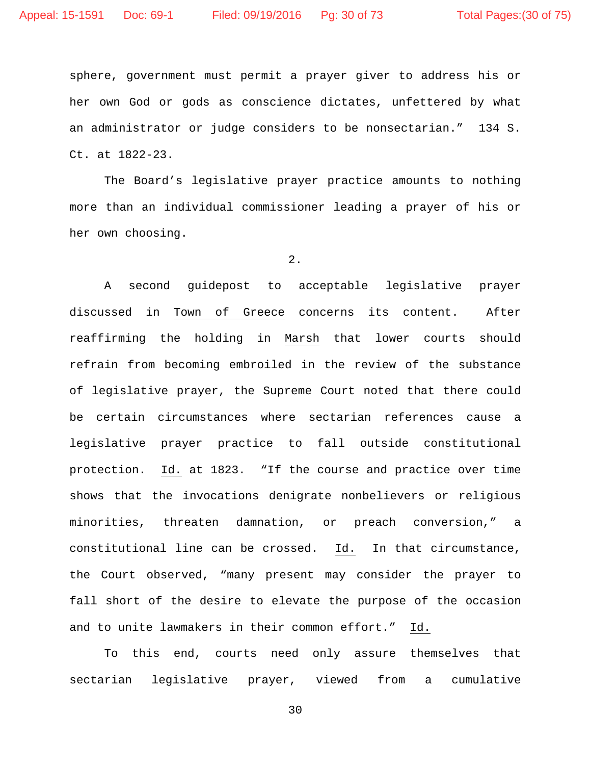sphere, government must permit a prayer giver to address his or her own God or gods as conscience dictates, unfettered by what an administrator or judge considers to be nonsectarian." 134 S. Ct. at 1822-23.

The Board's legislative prayer practice amounts to nothing more than an individual commissioner leading a prayer of his or her own choosing.

2.

A second guidepost to acceptable legislative prayer discussed in Town of Greece concerns its content. After reaffirming the holding in Marsh that lower courts should refrain from becoming embroiled in the review of the substance of legislative prayer, the Supreme Court noted that there could be certain circumstances where sectarian references cause a legislative prayer practice to fall outside constitutional protection. Id. at 1823. "If the course and practice over time shows that the invocations denigrate nonbelievers or religious minorities, threaten damnation, or preach conversion," a constitutional line can be crossed. Id. In that circumstance, the Court observed, "many present may consider the prayer to fall short of the desire to elevate the purpose of the occasion and to unite lawmakers in their common effort." Id.

To this end, courts need only assure themselves that sectarian legislative prayer, viewed from a cumulative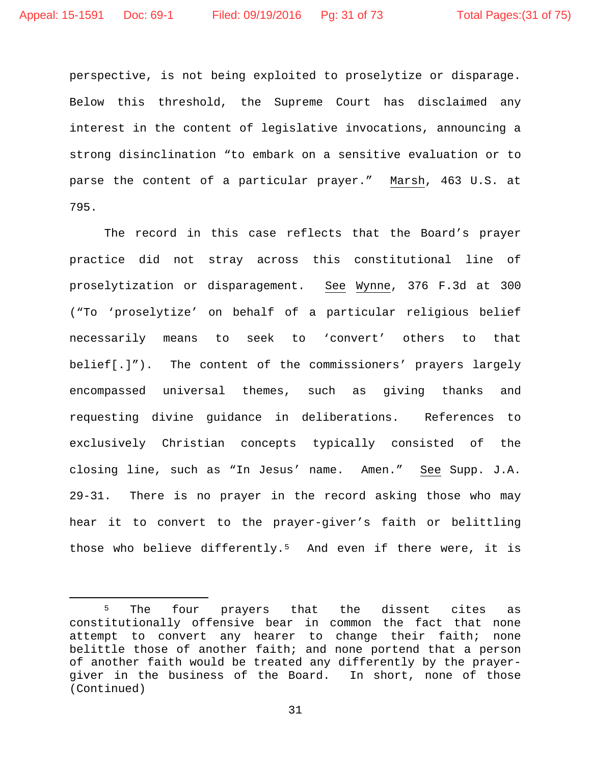perspective, is not being exploited to proselytize or disparage. Below this threshold, the Supreme Court has disclaimed any interest in the content of legislative invocations, announcing a strong disinclination "to embark on a sensitive evaluation or to parse the content of a particular prayer." Marsh, 463 U.S. at 795.

The record in this case reflects that the Board's prayer practice did not stray across this constitutional line of proselytization or disparagement. See Wynne, 376 F.3d at 300 ("To 'proselytize' on behalf of a particular religious belief necessarily means to seek to 'convert' others to that belief[.]"). The content of the commissioners' prayers largely encompassed universal themes, such as giving thanks and requesting divine guidance in deliberations. References to exclusively Christian concepts typically consisted of the closing line, such as "In Jesus' name. Amen." See Supp. J.A. 29-31. There is no prayer in the record asking those who may hear it to convert to the prayer-giver's faith or belittling those who believe differently.<sup>5</sup> And even if there were, it is

<span id="page-30-0"></span><sup>&</sup>lt;sup>5</sup> The four prayers that the dissent cites as constitutionally offensive bear in common the fact that none attempt to convert any hearer to change their faith; none belittle those of another faith; and none portend that a person of another faith would be treated any differently by the prayergiver in the business of the Board. In short, none of those (Continued)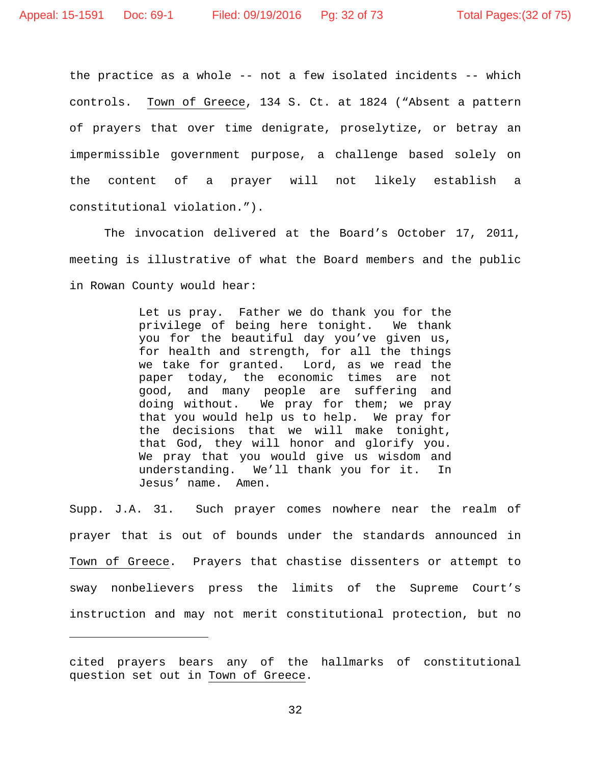Ĩ.

the practice as a whole -- not a few isolated incidents -- which controls. Town of Greece, 134 S. Ct. at 1824 ("Absent a pattern of prayers that over time denigrate, proselytize, or betray an impermissible government purpose, a challenge based solely on the content of a prayer will not likely establish a constitutional violation.").

The invocation delivered at the Board's October 17, 2011, meeting is illustrative of what the Board members and the public in Rowan County would hear:

> Let us pray. Father we do thank you for the privilege of being here tonight. We thank you for the beautiful day you've given us, for health and strength, for all the things we take for granted. Lord, as we read the paper today, the economic times are not good, and many people are suffering and doing without. We pray for them; we pray that you would help us to help. We pray for the decisions that we will make tonight, that God, they will honor and glorify you. We pray that you would give us wisdom and understanding. We'll thank you for it. In Jesus' name. Amen.

Supp. J.A. 31. Such prayer comes nowhere near the realm of prayer that is out of bounds under the standards announced in Town of Greece. Prayers that chastise dissenters or attempt to sway nonbelievers press the limits of the Supreme Court's instruction and may not merit constitutional protection, but no

cited prayers bears any of the hallmarks of constitutional question set out in Town of Greece.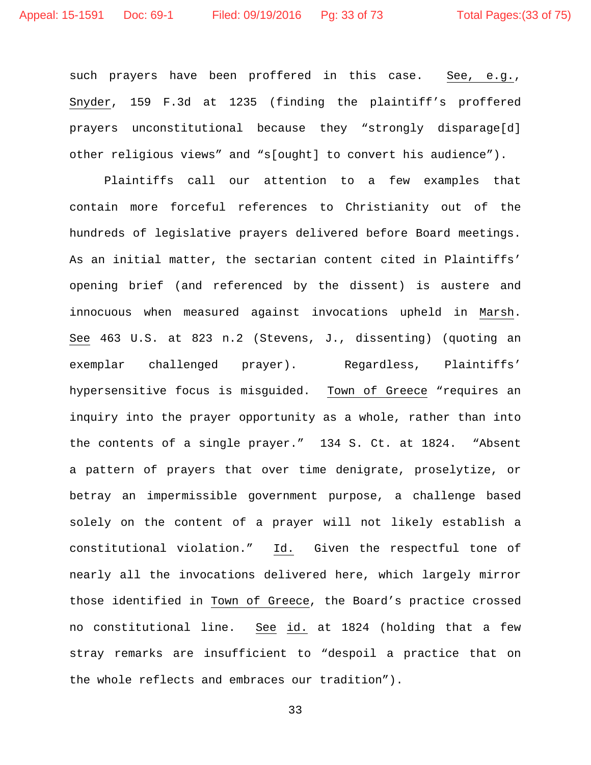such prayers have been proffered in this case. See, e.g., Snyder, 159 F.3d at 1235 (finding the plaintiff's proffered prayers unconstitutional because they "strongly disparage[d] other religious views" and "s[ought] to convert his audience").

Plaintiffs call our attention to a few examples that contain more forceful references to Christianity out of the hundreds of legislative prayers delivered before Board meetings. As an initial matter, the sectarian content cited in Plaintiffs' opening brief (and referenced by the dissent) is austere and innocuous when measured against invocations upheld in Marsh. See 463 U.S. at 823 n.2 (Stevens, J., dissenting) (quoting an exemplar challenged prayer). Regardless, Plaintiffs' hypersensitive focus is misguided. Town of Greece "requires an inquiry into the prayer opportunity as a whole, rather than into the contents of a single prayer." 134 S. Ct. at 1824. "Absent a pattern of prayers that over time denigrate, proselytize, or betray an impermissible government purpose, a challenge based solely on the content of a prayer will not likely establish a constitutional violation." Id. Given the respectful tone of nearly all the invocations delivered here, which largely mirror those identified in Town of Greece, the Board's practice crossed no constitutional line. See id. at 1824 (holding that a few stray remarks are insufficient to "despoil a practice that on the whole reflects and embraces our tradition").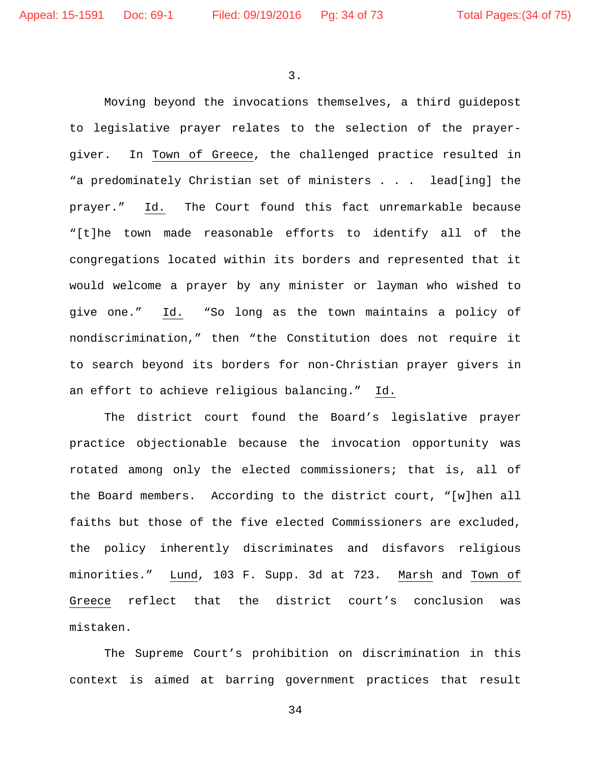3.

Moving beyond the invocations themselves, a third guidepost to legislative prayer relates to the selection of the prayergiver. In Town of Greece, the challenged practice resulted in "a predominately Christian set of ministers . . . lead[ing] the prayer." Id. The Court found this fact unremarkable because "[t]he town made reasonable efforts to identify all of the congregations located within its borders and represented that it would welcome a prayer by any minister or layman who wished to give one." Id. "So long as the town maintains a policy of nondiscrimination," then "the Constitution does not require it to search beyond its borders for non-Christian prayer givers in an effort to achieve religious balancing." Id.

The district court found the Board's legislative prayer practice objectionable because the invocation opportunity was rotated among only the elected commissioners; that is, all of the Board members. According to the district court, "[w]hen all faiths but those of the five elected Commissioners are excluded, the policy inherently discriminates and disfavors religious minorities." Lund, 103 F. Supp. 3d at 723. Marsh and Town of Greece reflect that the district court's conclusion was mistaken.

The Supreme Court's prohibition on discrimination in this context is aimed at barring government practices that result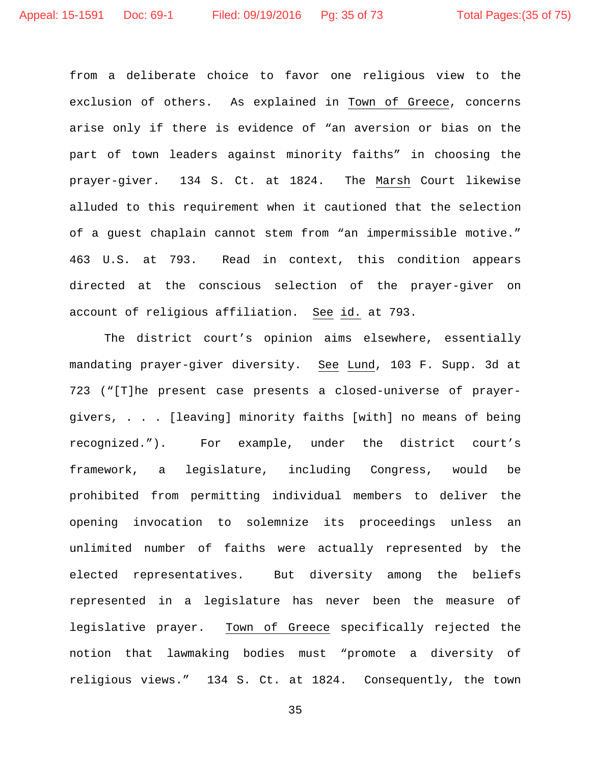from a deliberate choice to favor one religious view to the exclusion of others. As explained in Town of Greece, concerns arise only if there is evidence of "an aversion or bias on the part of town leaders against minority faiths" in choosing the prayer-giver. 134 S. Ct. at 1824. The Marsh Court likewise alluded to this requirement when it cautioned that the selection of a guest chaplain cannot stem from "an impermissible motive." 463 U.S. at 793. Read in context, this condition appears directed at the conscious selection of the prayer-giver on account of religious affiliation. See id. at 793.

The district court's opinion aims elsewhere, essentially mandating prayer-giver diversity. See Lund, 103 F. Supp. 3d at 723 ("[T]he present case presents a closed-universe of prayergivers, . . . [leaving] minority faiths [with] no means of being recognized."). For example, under the district court's framework, a legislature, including Congress, would be prohibited from permitting individual members to deliver the opening invocation to solemnize its proceedings unless an unlimited number of faiths were actually represented by the elected representatives. But diversity among the beliefs represented in a legislature has never been the measure of legislative prayer. Town of Greece specifically rejected the notion that lawmaking bodies must "promote a diversity of religious views." 134 S. Ct. at 1824. Consequently, the town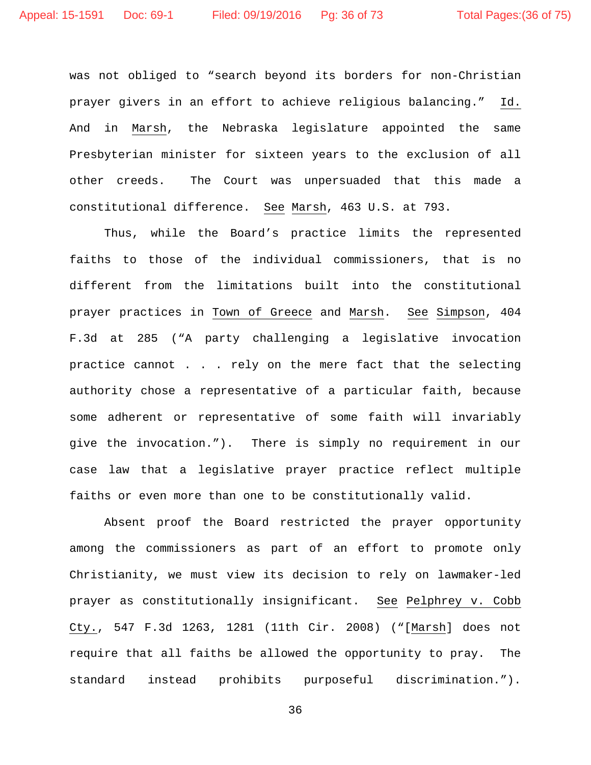was not obliged to "search beyond its borders for non-Christian prayer givers in an effort to achieve religious balancing." Id. And in Marsh, the Nebraska legislature appointed the same Presbyterian minister for sixteen years to the exclusion of all other creeds. The Court was unpersuaded that this made a constitutional difference. See Marsh, 463 U.S. at 793.

Thus, while the Board's practice limits the represented faiths to those of the individual commissioners, that is no different from the limitations built into the constitutional prayer practices in Town of Greece and Marsh. See Simpson, 404 F.3d at 285 ("A party challenging a legislative invocation practice cannot . . . rely on the mere fact that the selecting authority chose a representative of a particular faith, because some adherent or representative of some faith will invariably give the invocation."). There is simply no requirement in our case law that a legislative prayer practice reflect multiple faiths or even more than one to be constitutionally valid.

Absent proof the Board restricted the prayer opportunity among the commissioners as part of an effort to promote only Christianity, we must view its decision to rely on lawmaker-led prayer as constitutionally insignificant. See Pelphrey v. Cobb Cty., 547 F.3d 1263, 1281 (11th Cir. 2008) ("[Marsh] does not require that all faiths be allowed the opportunity to pray. The standard instead prohibits purposeful discrimination.").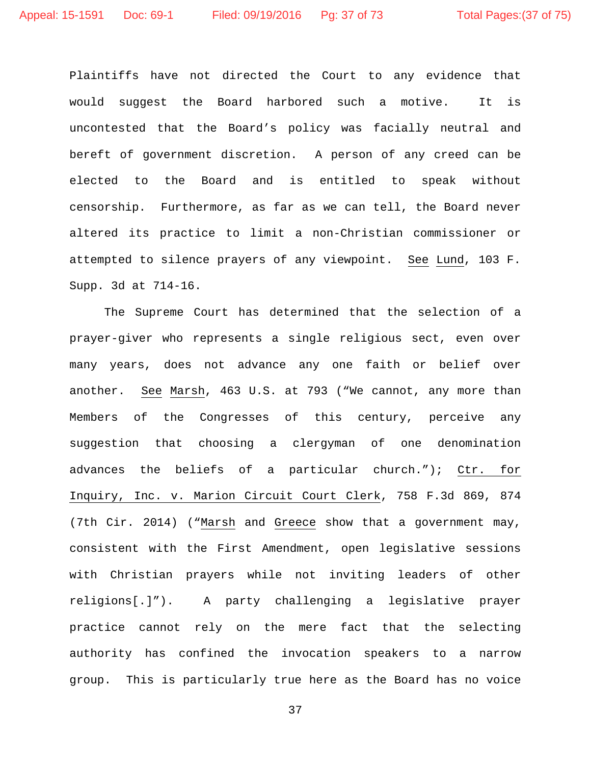Plaintiffs have not directed the Court to any evidence that would suggest the Board harbored such a motive. It is uncontested that the Board's policy was facially neutral and bereft of government discretion. A person of any creed can be elected to the Board and is entitled to speak without censorship. Furthermore, as far as we can tell, the Board never altered its practice to limit a non-Christian commissioner or attempted to silence prayers of any viewpoint. See Lund, 103 F. Supp. 3d at 714-16.

The Supreme Court has determined that the selection of a prayer-giver who represents a single religious sect, even over many years, does not advance any one faith or belief over another. See Marsh, 463 U.S. at 793 ("We cannot, any more than Members of the Congresses of this century, perceive any suggestion that choosing a clergyman of one denomination advances the beliefs of a particular church."); Ctr. for Inquiry, Inc. v. Marion Circuit Court Clerk, 758 F.3d 869, 874 (7th Cir. 2014) ("Marsh and Greece show that a government may, consistent with the First Amendment, open legislative sessions with Christian prayers while not inviting leaders of other religions[.]"). A party challenging a legislative prayer practice cannot rely on the mere fact that the selecting authority has confined the invocation speakers to a narrow group. This is particularly true here as the Board has no voice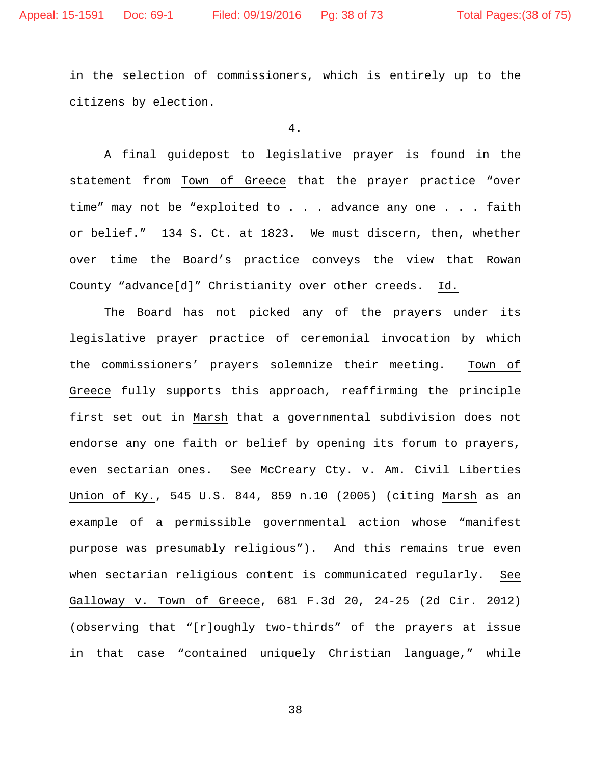in the selection of commissioners, which is entirely up to the citizens by election.

4.

A final guidepost to legislative prayer is found in the statement from Town of Greece that the prayer practice "over time" may not be "exploited to . . . advance any one . . . faith or belief." 134 S. Ct. at 1823. We must discern, then, whether over time the Board's practice conveys the view that Rowan County "advance[d]" Christianity over other creeds. Id.

The Board has not picked any of the prayers under its legislative prayer practice of ceremonial invocation by which the commissioners' prayers solemnize their meeting. Town of Greece fully supports this approach, reaffirming the principle first set out in Marsh that a governmental subdivision does not endorse any one faith or belief by opening its forum to prayers, even sectarian ones. See McCreary Cty. v. Am. Civil Liberties Union of Ky., 545 U.S. 844, 859 n.10 (2005) (citing Marsh as an example of a permissible governmental action whose "manifest purpose was presumably religious"). And this remains true even when sectarian religious content is communicated regularly. See Galloway v. Town of Greece, 681 F.3d 20, 24-25 (2d Cir. 2012) (observing that "[r]oughly two-thirds" of the prayers at issue in that case "contained uniquely Christian language," while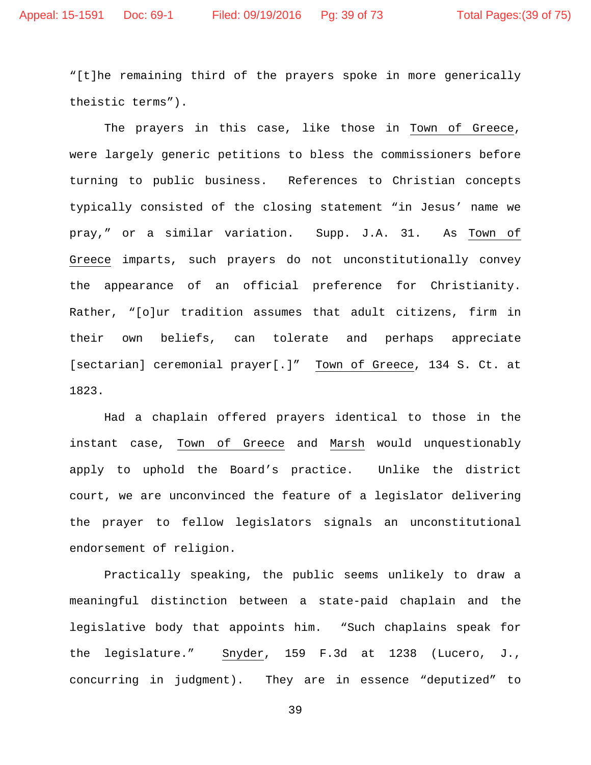"[t]he remaining third of the prayers spoke in more generically theistic terms").

The prayers in this case, like those in Town of Greece, were largely generic petitions to bless the commissioners before turning to public business. References to Christian concepts typically consisted of the closing statement "in Jesus' name we pray," or a similar variation. Supp. J.A. 31. As Town of Greece imparts, such prayers do not unconstitutionally convey the appearance of an official preference for Christianity. Rather, "[o]ur tradition assumes that adult citizens, firm in their own beliefs, can tolerate and perhaps appreciate [sectarian] ceremonial prayer[.]" Town of Greece, 134 S. Ct. at 1823.

Had a chaplain offered prayers identical to those in the instant case, Town of Greece and Marsh would unquestionably apply to uphold the Board's practice. Unlike the district court, we are unconvinced the feature of a legislator delivering the prayer to fellow legislators signals an unconstitutional endorsement of religion.

Practically speaking, the public seems unlikely to draw a meaningful distinction between a state-paid chaplain and the legislative body that appoints him. "Such chaplains speak for the legislature." Snyder, 159 F.3d at 1238 (Lucero, J., concurring in judgment). They are in essence "deputized" to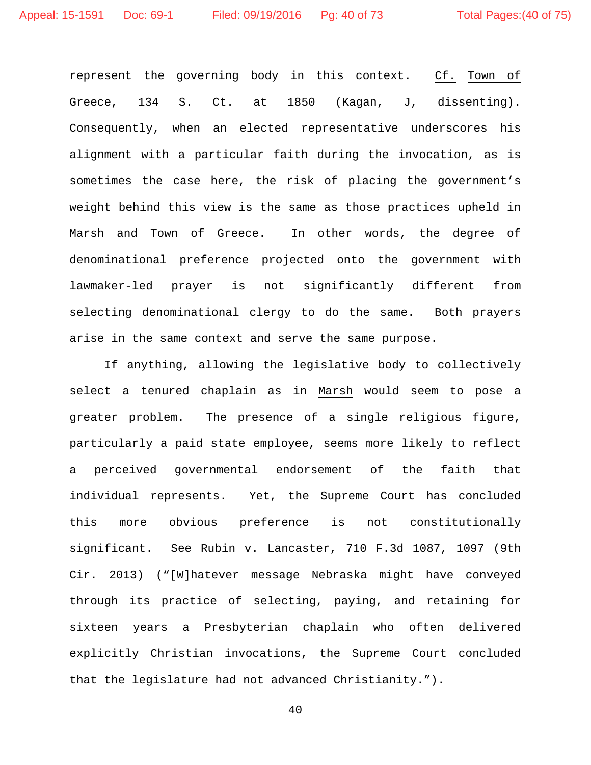represent the governing body in this context. Cf. Town of Greece, 134 S. Ct. at 1850 (Kagan, J, dissenting). Consequently, when an elected representative underscores his alignment with a particular faith during the invocation, as is sometimes the case here, the risk of placing the government's weight behind this view is the same as those practices upheld in Marsh and Town of Greece. In other words, the degree of denominational preference projected onto the government with lawmaker-led prayer is not significantly different from selecting denominational clergy to do the same. Both prayers arise in the same context and serve the same purpose.

If anything, allowing the legislative body to collectively select a tenured chaplain as in Marsh would seem to pose a greater problem. The presence of a single religious figure, particularly a paid state employee, seems more likely to reflect a perceived governmental endorsement of the faith that individual represents. Yet, the Supreme Court has concluded this more obvious preference is not constitutionally significant. See Rubin v. Lancaster, 710 F.3d 1087, 1097 (9th Cir. 2013) ("[W]hatever message Nebraska might have conveyed through its practice of selecting, paying, and retaining for sixteen years a Presbyterian chaplain who often delivered explicitly Christian invocations, the Supreme Court concluded that the legislature had not advanced Christianity.").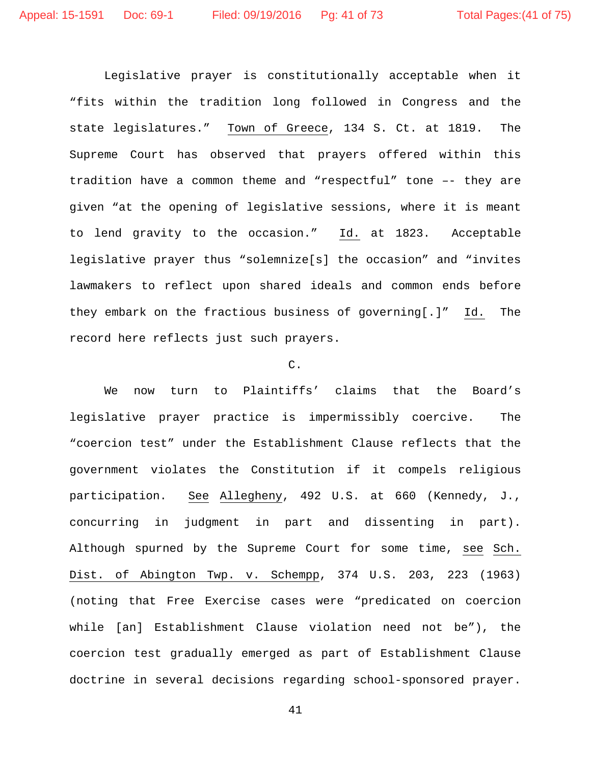Legislative prayer is constitutionally acceptable when it "fits within the tradition long followed in Congress and the state legislatures." Town of Greece, 134 S. Ct. at 1819. The Supreme Court has observed that prayers offered within this tradition have a common theme and "respectful" tone –- they are given "at the opening of legislative sessions, where it is meant to lend gravity to the occasion." Id. at 1823. Acceptable legislative prayer thus "solemnize[s] the occasion" and "invites lawmakers to reflect upon shared ideals and common ends before they embark on the fractious business of governing[.]" Id. The record here reflects just such prayers.

## C.

We now turn to Plaintiffs' claims that the Board's legislative prayer practice is impermissibly coercive. The "coercion test" under the Establishment Clause reflects that the government violates the Constitution if it compels religious participation. See Allegheny, 492 U.S. at 660 (Kennedy, J., concurring in judgment in part and dissenting in part). Although spurned by the Supreme Court for some time, see Sch. Dist. of Abington Twp. v. Schempp, 374 U.S. 203, 223 (1963) (noting that Free Exercise cases were "predicated on coercion while [an] Establishment Clause violation need not be"), the coercion test gradually emerged as part of Establishment Clause doctrine in several decisions regarding school-sponsored prayer.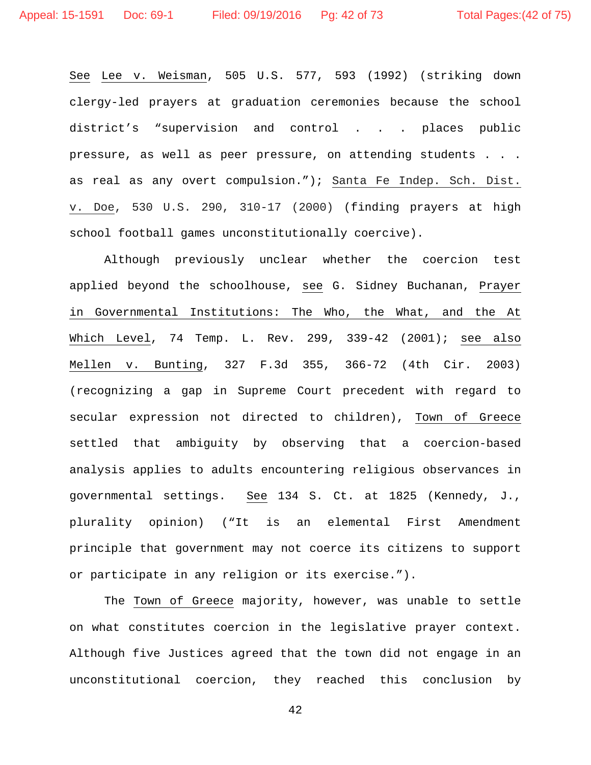See Lee v. Weisman, 505 U.S. 577, 593 (1992) (striking down clergy-led prayers at graduation ceremonies because the school district's "supervision and control . . . places public pressure, as well as peer pressure, on attending students . . . as real as any overt compulsion."); Santa Fe Indep. Sch. Dist. v. Doe, 530 U.S. 290, 310-17 (2000) (finding prayers at high school football games unconstitutionally coercive).

Although previously unclear whether the coercion test applied beyond the schoolhouse, see G. Sidney Buchanan, Prayer in Governmental Institutions: The Who, the What, and the At Which Level, 74 Temp. L. Rev. 299, 339-42 (2001); see also Mellen v. Bunting, 327 F.3d 355, 366-72 (4th Cir. 2003) (recognizing a gap in Supreme Court precedent with regard to secular expression not directed to children), Town of Greece settled that ambiguity by observing that a coercion-based analysis applies to adults encountering religious observances in governmental settings. See 134 S. Ct. at 1825 (Kennedy, J., plurality opinion) ("It is an elemental First Amendment principle that government may not coerce its citizens to support or participate in any religion or its exercise.").

The Town of Greece majority, however, was unable to settle on what constitutes coercion in the legislative prayer context. Although five Justices agreed that the town did not engage in an unconstitutional coercion, they reached this conclusion by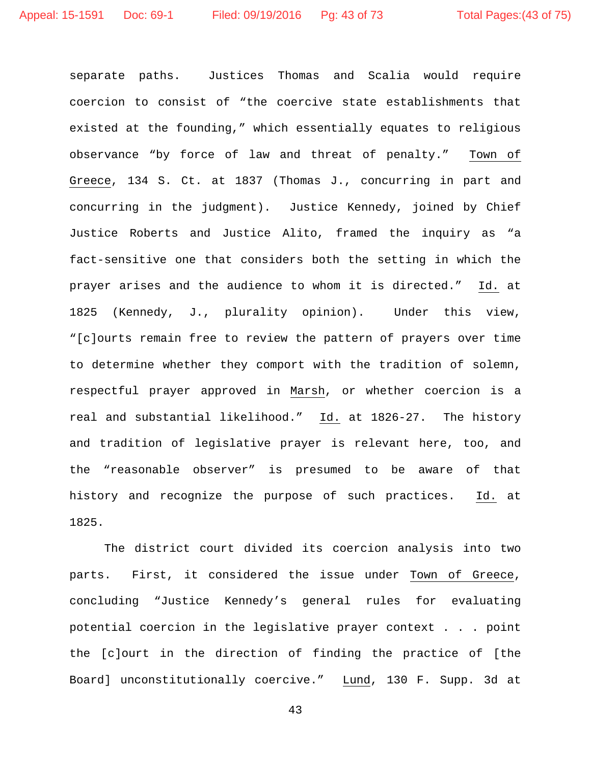separate paths. Justices Thomas and Scalia would require coercion to consist of "the coercive state establishments that existed at the founding," which essentially equates to religious observance "by force of law and threat of penalty." Town of Greece, 134 S. Ct. at 1837 (Thomas J., concurring in part and concurring in the judgment). Justice Kennedy, joined by Chief Justice Roberts and Justice Alito, framed the inquiry as "a fact-sensitive one that considers both the setting in which the prayer arises and the audience to whom it is directed." Id. at 1825 (Kennedy, J., plurality opinion). Under this view, "[c]ourts remain free to review the pattern of prayers over time to determine whether they comport with the tradition of solemn, respectful prayer approved in Marsh, or whether coercion is a real and substantial likelihood." Id. at 1826-27. The history and tradition of legislative prayer is relevant here, too, and the "reasonable observer" is presumed to be aware of that history and recognize the purpose of such practices. Id. at 1825.

The district court divided its coercion analysis into two parts. First, it considered the issue under Town of Greece, concluding "Justice Kennedy's general rules for evaluating potential coercion in the legislative prayer context . . . point the [c]ourt in the direction of finding the practice of [the Board] unconstitutionally coercive." Lund, 130 F. Supp. 3d at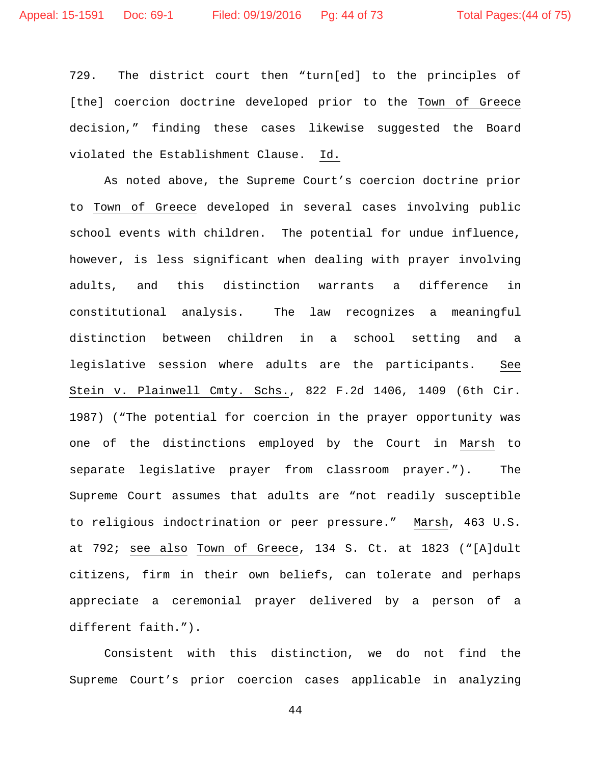729. The district court then "turn[ed] to the principles of [the] coercion doctrine developed prior to the Town of Greece decision," finding these cases likewise suggested the Board violated the Establishment Clause. Id.

As noted above, the Supreme Court's coercion doctrine prior to Town of Greece developed in several cases involving public school events with children. The potential for undue influence, however, is less significant when dealing with prayer involving adults, and this distinction warrants a difference in constitutional analysis. The law recognizes a meaningful distinction between children in a school setting and a legislative session where adults are the participants. See Stein v. Plainwell Cmty. Schs., 822 F.2d 1406, 1409 (6th Cir. 1987) ("The potential for coercion in the prayer opportunity was one of the distinctions employed by the Court in Marsh to separate legislative prayer from classroom prayer."). The Supreme Court assumes that adults are "not readily susceptible to religious indoctrination or peer pressure." Marsh, 463 U.S. at 792; see also Town of Greece, 134 S. Ct. at 1823 ("[A]dult citizens, firm in their own beliefs, can tolerate and perhaps appreciate a ceremonial prayer delivered by a person of a different faith.").

Consistent with this distinction, we do not find the Supreme Court's prior coercion cases applicable in analyzing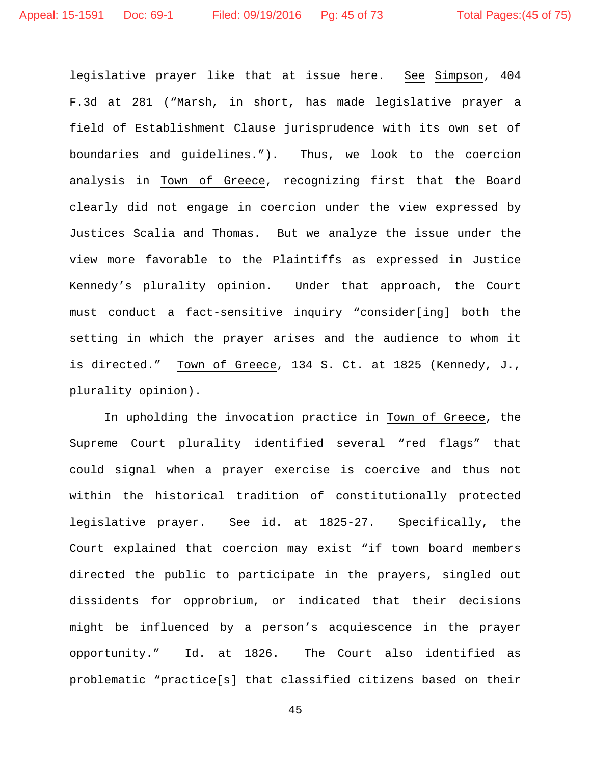legislative prayer like that at issue here. See Simpson, 404 F.3d at 281 ("Marsh, in short, has made legislative prayer a field of Establishment Clause jurisprudence with its own set of boundaries and guidelines."). Thus, we look to the coercion analysis in Town of Greece, recognizing first that the Board clearly did not engage in coercion under the view expressed by Justices Scalia and Thomas. But we analyze the issue under the view more favorable to the Plaintiffs as expressed in Justice Kennedy's plurality opinion. Under that approach, the Court must conduct a fact-sensitive inquiry "consider[ing] both the setting in which the prayer arises and the audience to whom it is directed." Town of Greece, 134 S. Ct. at 1825 (Kennedy, J., plurality opinion).

In upholding the invocation practice in Town of Greece, the Supreme Court plurality identified several "red flags" that could signal when a prayer exercise is coercive and thus not within the historical tradition of constitutionally protected legislative prayer. See id. at 1825-27. Specifically, the Court explained that coercion may exist "if town board members directed the public to participate in the prayers, singled out dissidents for opprobrium, or indicated that their decisions might be influenced by a person's acquiescence in the prayer opportunity." Id. at 1826. The Court also identified as problematic "practice[s] that classified citizens based on their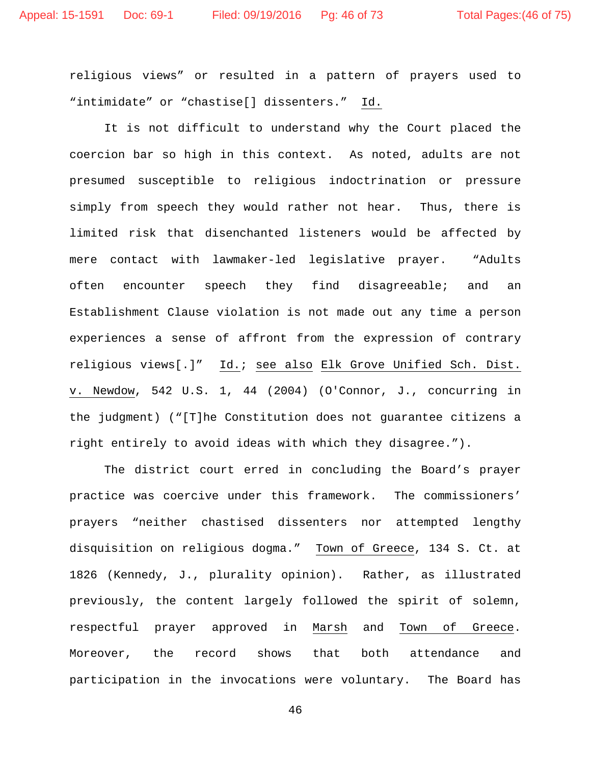religious views" or resulted in a pattern of prayers used to "intimidate" or "chastise[] dissenters." Id.

It is not difficult to understand why the Court placed the coercion bar so high in this context. As noted, adults are not presumed susceptible to religious indoctrination or pressure simply from speech they would rather not hear. Thus, there is limited risk that disenchanted listeners would be affected by mere contact with lawmaker-led legislative prayer. "Adults often encounter speech they find disagreeable; and an Establishment Clause violation is not made out any time a person experiences a sense of affront from the expression of contrary religious views[.]" Id.; see also Elk Grove Unified Sch. Dist. v. Newdow, 542 U.S. 1, 44 (2004) (O'Connor, J., concurring in the judgment) ("[T]he Constitution does not guarantee citizens a right entirely to avoid ideas with which they disagree.").

The district court erred in concluding the Board's prayer practice was coercive under this framework. The commissioners' prayers "neither chastised dissenters nor attempted lengthy disquisition on religious dogma." Town of Greece, 134 S. Ct. at 1826 (Kennedy, J., plurality opinion). Rather, as illustrated previously, the content largely followed the spirit of solemn, respectful prayer approved in Marsh and Town of Greece. Moreover, the record shows that both attendance and participation in the invocations were voluntary. The Board has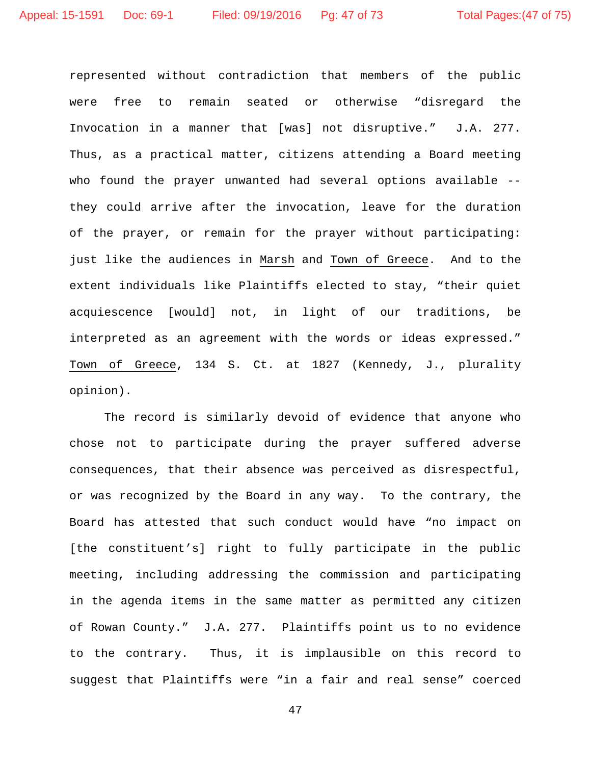represented without contradiction that members of the public were free to remain seated or otherwise "disregard the Invocation in a manner that [was] not disruptive." J.A. 277. Thus, as a practical matter, citizens attending a Board meeting who found the prayer unwanted had several options available -they could arrive after the invocation, leave for the duration of the prayer, or remain for the prayer without participating: just like the audiences in Marsh and Town of Greece. And to the extent individuals like Plaintiffs elected to stay, "their quiet acquiescence [would] not, in light of our traditions, be interpreted as an agreement with the words or ideas expressed." Town of Greece, 134 S. Ct. at 1827 (Kennedy, J., plurality opinion).

The record is similarly devoid of evidence that anyone who chose not to participate during the prayer suffered adverse consequences, that their absence was perceived as disrespectful, or was recognized by the Board in any way. To the contrary, the Board has attested that such conduct would have "no impact on [the constituent's] right to fully participate in the public meeting, including addressing the commission and participating in the agenda items in the same matter as permitted any citizen of Rowan County." J.A. 277. Plaintiffs point us to no evidence to the contrary. Thus, it is implausible on this record to suggest that Plaintiffs were "in a fair and real sense" coerced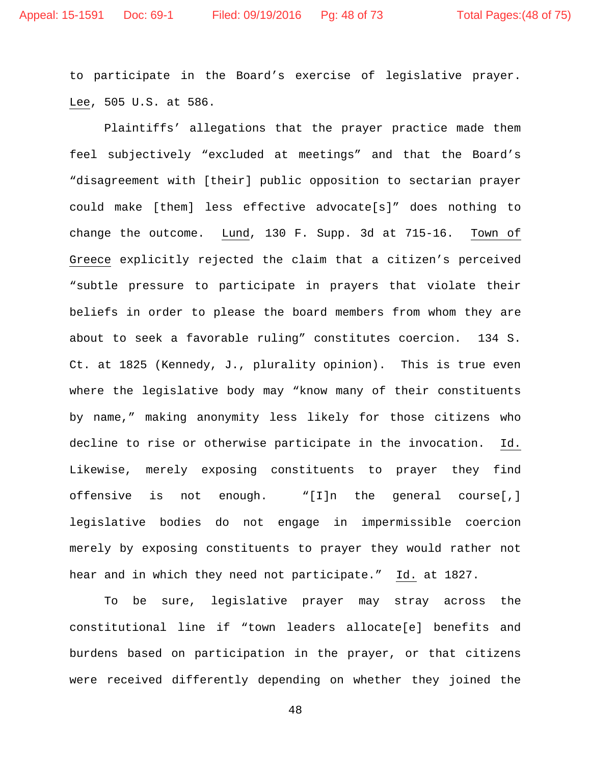to participate in the Board's exercise of legislative prayer. Lee, 505 U.S. at 586.

Plaintiffs' allegations that the prayer practice made them feel subjectively "excluded at meetings" and that the Board's "disagreement with [their] public opposition to sectarian prayer could make [them] less effective advocate[s]" does nothing to change the outcome. Lund, 130 F. Supp. 3d at 715-16. Town of Greece explicitly rejected the claim that a citizen's perceived "subtle pressure to participate in prayers that violate their beliefs in order to please the board members from whom they are about to seek a favorable ruling" constitutes coercion. 134 S. Ct. at 1825 (Kennedy, J., plurality opinion). This is true even where the legislative body may "know many of their constituents by name," making anonymity less likely for those citizens who decline to rise or otherwise participate in the invocation. Id. Likewise, merely exposing constituents to prayer they find offensive is not enough. "[I]n the general course[,] legislative bodies do not engage in impermissible coercion merely by exposing constituents to prayer they would rather not hear and in which they need not participate." Id. at 1827.

To be sure, legislative prayer may stray across the constitutional line if "town leaders allocate[e] benefits and burdens based on participation in the prayer, or that citizens were received differently depending on whether they joined the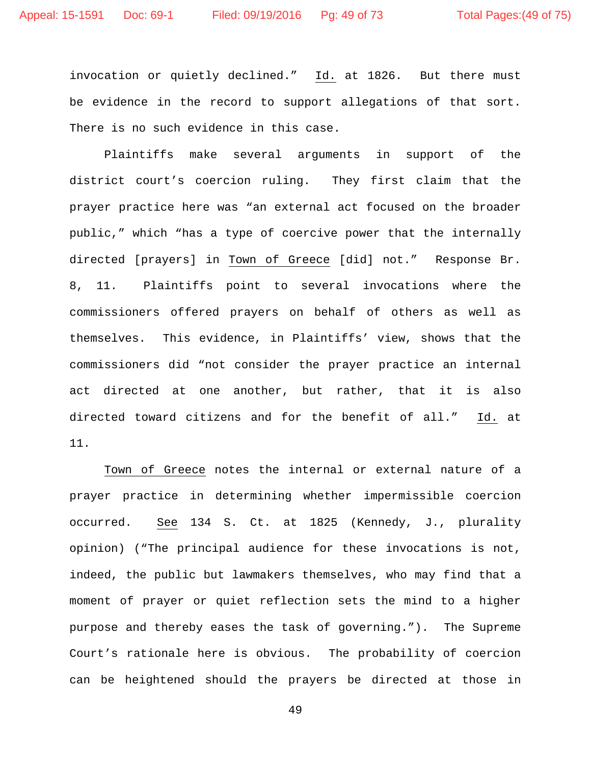invocation or quietly declined." Id. at 1826. But there must be evidence in the record to support allegations of that sort. There is no such evidence in this case.

Plaintiffs make several arguments in support of the district court's coercion ruling. They first claim that the prayer practice here was "an external act focused on the broader public," which "has a type of coercive power that the internally directed [prayers] in Town of Greece [did] not." Response Br. 8, 11. Plaintiffs point to several invocations where the commissioners offered prayers on behalf of others as well as themselves. This evidence, in Plaintiffs' view, shows that the commissioners did "not consider the prayer practice an internal act directed at one another, but rather, that it is also directed toward citizens and for the benefit of all." Id. at 11.

Town of Greece notes the internal or external nature of a prayer practice in determining whether impermissible coercion occurred. See 134 S. Ct. at 1825 (Kennedy, J., plurality opinion) ("The principal audience for these invocations is not, indeed, the public but lawmakers themselves, who may find that a moment of prayer or quiet reflection sets the mind to a higher purpose and thereby eases the task of governing."). The Supreme Court's rationale here is obvious. The probability of coercion can be heightened should the prayers be directed at those in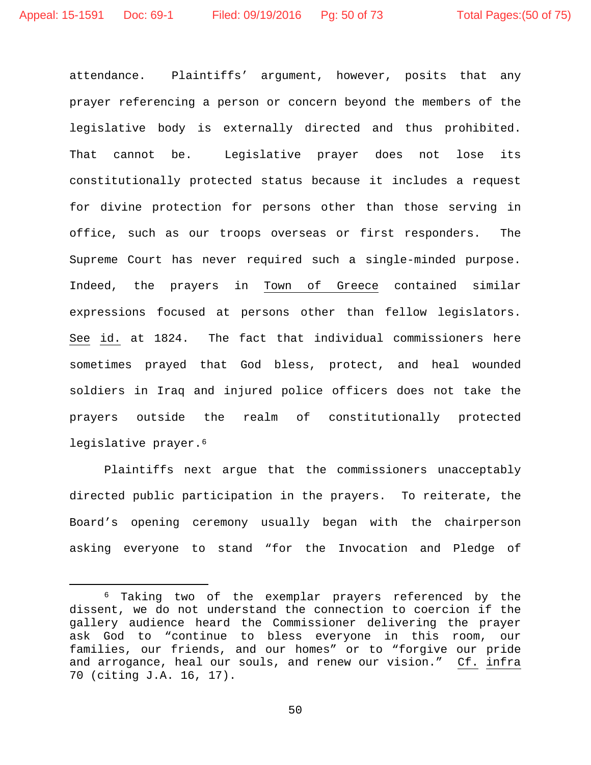attendance. Plaintiffs' argument, however, posits that any prayer referencing a person or concern beyond the members of the legislative body is externally directed and thus prohibited. That cannot be. Legislative prayer does not lose its constitutionally protected status because it includes a request for divine protection for persons other than those serving in office, such as our troops overseas or first responders. The Supreme Court has never required such a single-minded purpose. Indeed, the prayers in Town of Greece contained similar expressions focused at persons other than fellow legislators. See id. at 1824. The fact that individual commissioners here sometimes prayed that God bless, protect, and heal wounded soldiers in Iraq and injured police officers does not take the prayers outside the realm of constitutionally protected legislative prayer.<sup>[6](#page-49-0)</sup>

Plaintiffs next argue that the commissioners unacceptably directed public participation in the prayers. To reiterate, the Board's opening ceremony usually began with the chairperson asking everyone to stand "for the Invocation and Pledge of

<span id="page-49-0"></span> <sup>6</sup> Taking two of the exemplar prayers referenced by the dissent, we do not understand the connection to coercion if the gallery audience heard the Commissioner delivering the prayer ask God to "continue to bless everyone in this room, our families, our friends, and our homes" or to "forgive our pride and arrogance, heal our souls, and renew our vision." Cf. infra 70 (citing J.A. 16, 17).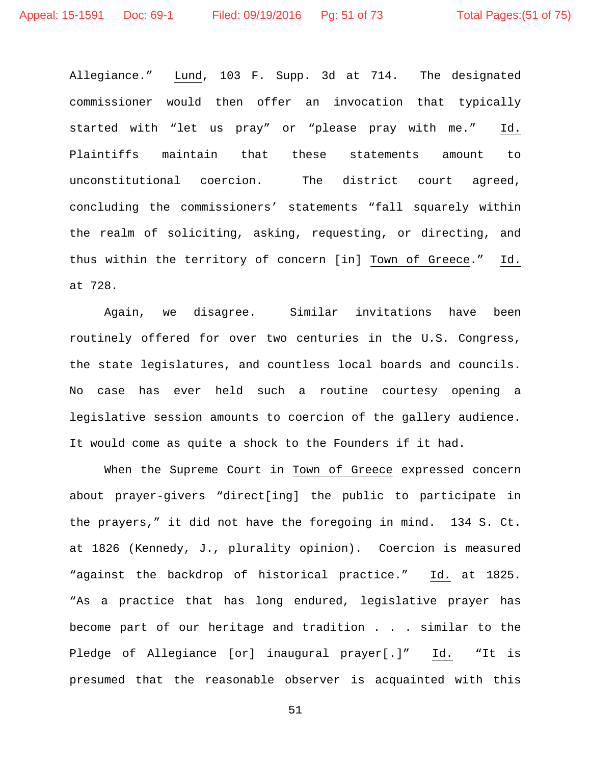Allegiance." Lund, 103 F. Supp. 3d at 714. The designated commissioner would then offer an invocation that typically started with "let us pray" or "please pray with me." Id. Plaintiffs maintain that these statements amount to unconstitutional coercion. The district court agreed, concluding the commissioners' statements "fall squarely within the realm of soliciting, asking, requesting, or directing, and thus within the territory of concern [in] Town of Greece." Id. at 728.

Again, we disagree. Similar invitations have been routinely offered for over two centuries in the U.S. Congress, the state legislatures, and countless local boards and councils. No case has ever held such a routine courtesy opening a legislative session amounts to coercion of the gallery audience. It would come as quite a shock to the Founders if it had.

When the Supreme Court in Town of Greece expressed concern about prayer-givers "direct[ing] the public to participate in the prayers," it did not have the foregoing in mind. 134 S. Ct. at 1826 (Kennedy, J., plurality opinion). Coercion is measured "against the backdrop of historical practice." Id. at 1825. "As a practice that has long endured, legislative prayer has become part of our heritage and tradition . . . similar to the Pledge of Allegiance [or] inaugural prayer[.]" Id. "It is presumed that the reasonable observer is acquainted with this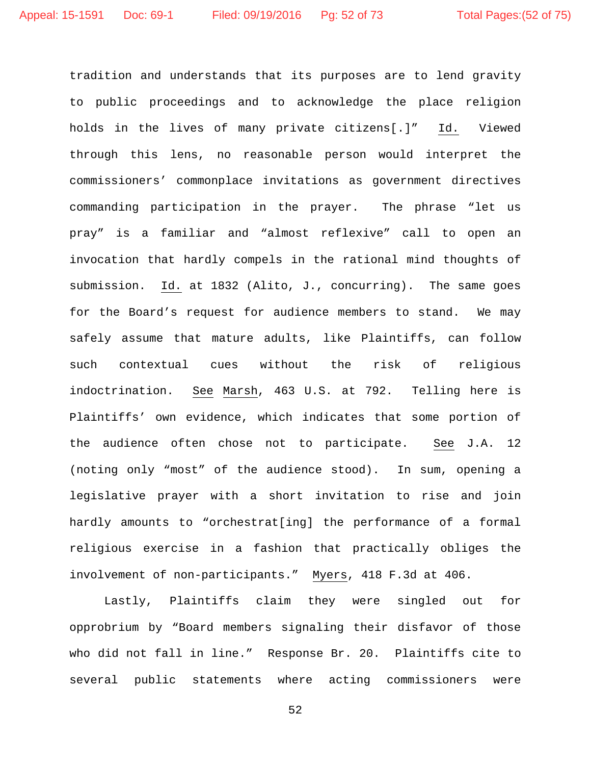tradition and understands that its purposes are to lend gravity to public proceedings and to acknowledge the place religion holds in the lives of many private citizens[.]" Id. Viewed through this lens, no reasonable person would interpret the commissioners' commonplace invitations as government directives commanding participation in the prayer. The phrase "let us pray" is a familiar and "almost reflexive" call to open an invocation that hardly compels in the rational mind thoughts of submission. Id. at 1832 (Alito, J., concurring). The same goes for the Board's request for audience members to stand. We may safely assume that mature adults, like Plaintiffs, can follow such contextual cues without the risk of religious indoctrination. See Marsh, 463 U.S. at 792. Telling here is Plaintiffs' own evidence, which indicates that some portion of the audience often chose not to participate. See J.A. 12 (noting only "most" of the audience stood). In sum, opening a legislative prayer with a short invitation to rise and join hardly amounts to "orchestrat[ing] the performance of a formal religious exercise in a fashion that practically obliges the involvement of non-participants." Myers, 418 F.3d at 406.

Lastly, Plaintiffs claim they were singled out for opprobrium by "Board members signaling their disfavor of those who did not fall in line." Response Br. 20. Plaintiffs cite to several public statements where acting commissioners were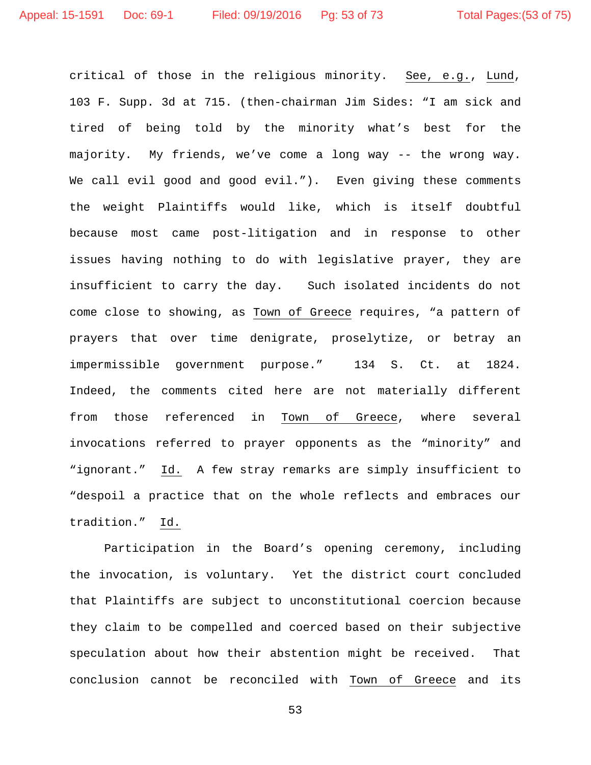critical of those in the religious minority. See, e.g., Lund, 103 F. Supp. 3d at 715. (then-chairman Jim Sides: "I am sick and tired of being told by the minority what's best for the majority. My friends, we've come a long way -- the wrong way. We call evil good and good evil."). Even giving these comments the weight Plaintiffs would like, which is itself doubtful because most came post-litigation and in response to other issues having nothing to do with legislative prayer, they are insufficient to carry the day. Such isolated incidents do not come close to showing, as Town of Greece requires, "a pattern of prayers that over time denigrate, proselytize, or betray an impermissible government purpose." 134 S. Ct. at 1824. Indeed, the comments cited here are not materially different from those referenced in Town of Greece, where several invocations referred to prayer opponents as the "minority" and "ignorant." Id. A few stray remarks are simply insufficient to "despoil a practice that on the whole reflects and embraces our tradition." Id.

Participation in the Board's opening ceremony, including the invocation, is voluntary. Yet the district court concluded that Plaintiffs are subject to unconstitutional coercion because they claim to be compelled and coerced based on their subjective speculation about how their abstention might be received. That conclusion cannot be reconciled with Town of Greece and its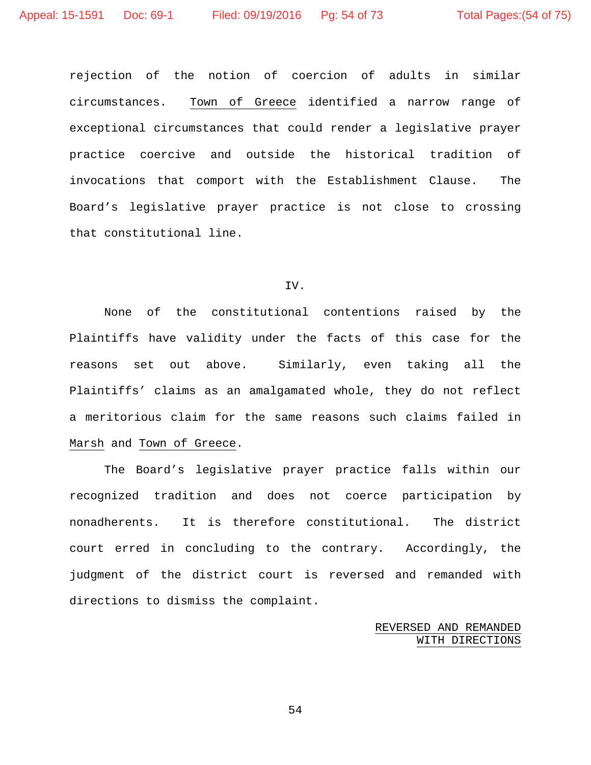rejection of the notion of coercion of adults in similar circumstances. Town of Greece identified a narrow range of exceptional circumstances that could render a legislative prayer practice coercive and outside the historical tradition of invocations that comport with the Establishment Clause. The Board's legislative prayer practice is not close to crossing that constitutional line.

#### IV.

None of the constitutional contentions raised by the Plaintiffs have validity under the facts of this case for the reasons set out above. Similarly, even taking all the Plaintiffs' claims as an amalgamated whole, they do not reflect a meritorious claim for the same reasons such claims failed in Marsh and Town of Greece.

The Board's legislative prayer practice falls within our recognized tradition and does not coerce participation by nonadherents. It is therefore constitutional. The district court erred in concluding to the contrary. Accordingly, the judgment of the district court is reversed and remanded with directions to dismiss the complaint.

# REVERSED AND REMANDED WITH DIRECTIONS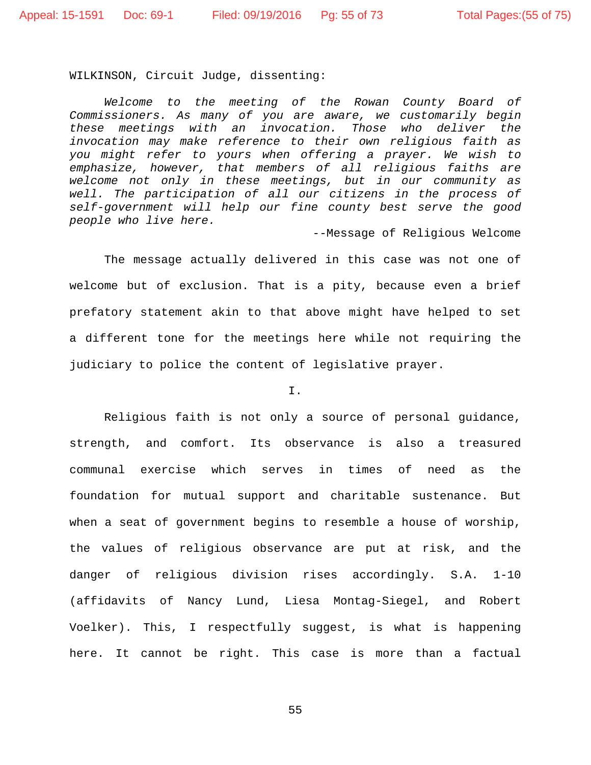WILKINSON, Circuit Judge, dissenting:

*Welcome to the meeting of the Rowan County Board of Commissioners. As many of you are aware, we customarily begin these meetings with an invocation. Those who deliver the invocation may make reference to their own religious faith as you might refer to yours when offering a prayer. We wish to emphasize, however, that members of all religious faiths are welcome not only in these meetings, but in our community as well. The participation of all our citizens in the process of self-government will help our fine county best serve the good people who live here.*

--Message of Religious Welcome

The message actually delivered in this case was not one of welcome but of exclusion. That is a pity, because even a brief prefatory statement akin to that above might have helped to set a different tone for the meetings here while not requiring the judiciary to police the content of legislative prayer.

I.

Religious faith is not only a source of personal guidance, strength, and comfort. Its observance is also a treasured communal exercise which serves in times of need as the foundation for mutual support and charitable sustenance. But when a seat of government begins to resemble a house of worship, the values of religious observance are put at risk, and the danger of religious division rises accordingly. S.A. 1-10 (affidavits of Nancy Lund, Liesa Montag-Siegel, and Robert Voelker). This, I respectfully suggest, is what is happening here. It cannot be right. This case is more than a factual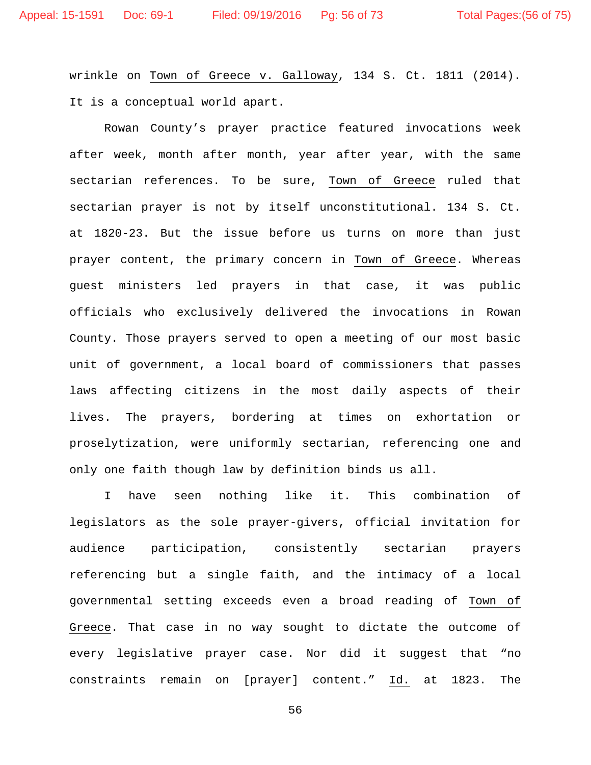wrinkle on Town of Greece v. Galloway, 134 S. Ct. 1811 (2014). It is a conceptual world apart.

Rowan County's prayer practice featured invocations week after week, month after month, year after year, with the same sectarian references. To be sure, Town of Greece ruled that sectarian prayer is not by itself unconstitutional. 134 S. Ct. at 1820-23. But the issue before us turns on more than just prayer content, the primary concern in Town of Greece. Whereas guest ministers led prayers in that case, it was public officials who exclusively delivered the invocations in Rowan County. Those prayers served to open a meeting of our most basic unit of government, a local board of commissioners that passes laws affecting citizens in the most daily aspects of their lives. The prayers, bordering at times on exhortation or proselytization, were uniformly sectarian, referencing one and only one faith though law by definition binds us all.

I have seen nothing like it. This combination of legislators as the sole prayer-givers, official invitation for audience participation, consistently sectarian prayers referencing but a single faith, and the intimacy of a local governmental setting exceeds even a broad reading of Town of Greece. That case in no way sought to dictate the outcome of every legislative prayer case. Nor did it suggest that "no constraints remain on [prayer] content." Id. at 1823. The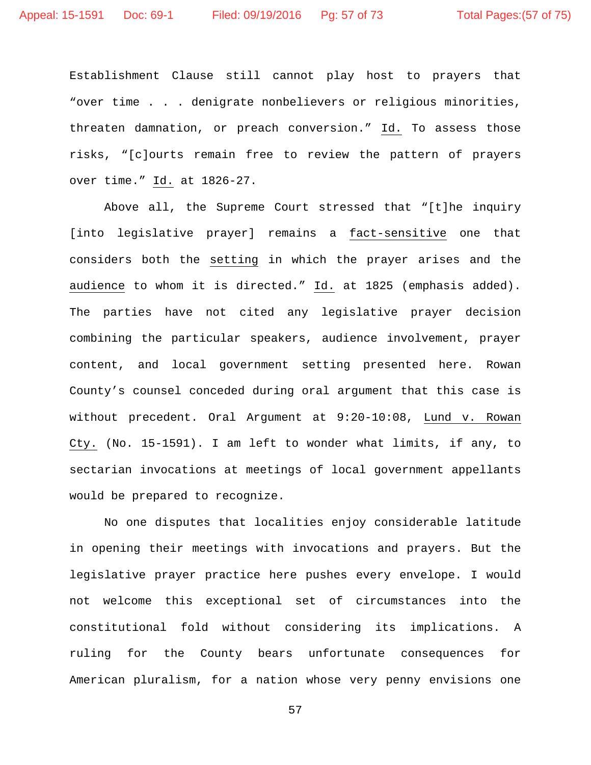Establishment Clause still cannot play host to prayers that "over time . . . denigrate nonbelievers or religious minorities, threaten damnation, or preach conversion." Id. To assess those risks, "[c]ourts remain free to review the pattern of prayers over time." Id. at 1826-27.

Above all, the Supreme Court stressed that "[t]he inquiry [into legislative prayer] remains a fact-sensitive one that considers both the setting in which the prayer arises and the audience to whom it is directed." Id. at 1825 (emphasis added). The parties have not cited any legislative prayer decision combining the particular speakers, audience involvement, prayer content, and local government setting presented here. Rowan County's counsel conceded during oral argument that this case is without precedent. Oral Argument at 9:20-10:08, Lund v. Rowan Cty. (No. 15-1591). I am left to wonder what limits, if any, to sectarian invocations at meetings of local government appellants would be prepared to recognize.

No one disputes that localities enjoy considerable latitude in opening their meetings with invocations and prayers. But the legislative prayer practice here pushes every envelope. I would not welcome this exceptional set of circumstances into the constitutional fold without considering its implications. A ruling for the County bears unfortunate consequences for American pluralism, for a nation whose very penny envisions one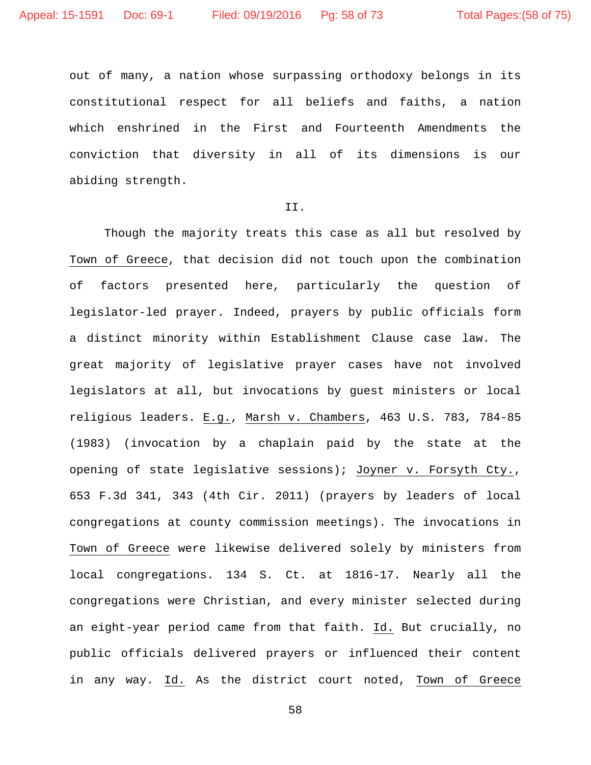out of many, a nation whose surpassing orthodoxy belongs in its constitutional respect for all beliefs and faiths, a nation which enshrined in the First and Fourteenth Amendments the conviction that diversity in all of its dimensions is our abiding strength.

#### II.

Though the majority treats this case as all but resolved by Town of Greece, that decision did not touch upon the combination of factors presented here, particularly the question of legislator-led prayer. Indeed, prayers by public officials form a distinct minority within Establishment Clause case law. The great majority of legislative prayer cases have not involved legislators at all, but invocations by guest ministers or local religious leaders. E.g., Marsh v. Chambers, 463 U.S. 783, 784-85 (1983) (invocation by a chaplain paid by the state at the opening of state legislative sessions); Joyner v. Forsyth Cty., 653 F.3d 341, 343 (4th Cir. 2011) (prayers by leaders of local congregations at county commission meetings). The invocations in Town of Greece were likewise delivered solely by ministers from local congregations. 134 S. Ct. at 1816-17. Nearly all the congregations were Christian, and every minister selected during an eight-year period came from that faith. Id. But crucially, no public officials delivered prayers or influenced their content in any way. Id. As the district court noted, Town of Greece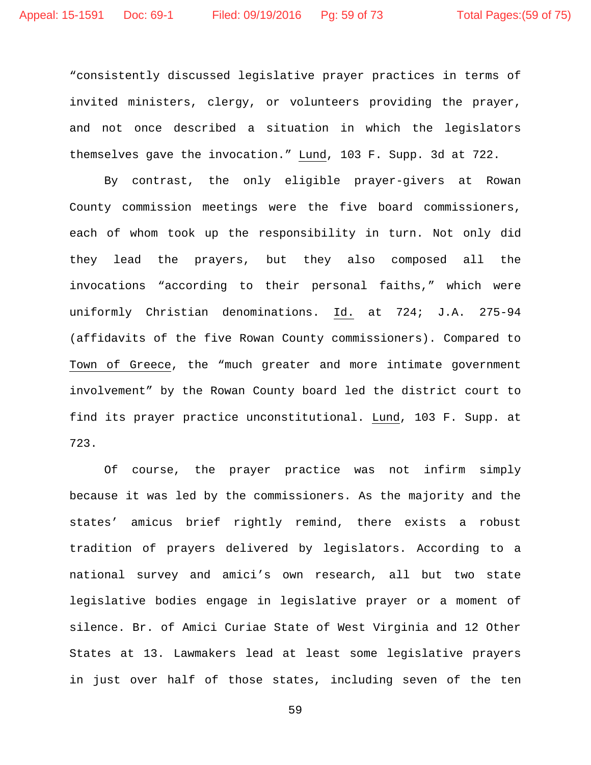"consistently discussed legislative prayer practices in terms of invited ministers, clergy, or volunteers providing the prayer, and not once described a situation in which the legislators themselves gave the invocation." Lund, 103 F. Supp. 3d at 722.

By contrast, the only eligible prayer-givers at Rowan County commission meetings were the five board commissioners, each of whom took up the responsibility in turn. Not only did they lead the prayers, but they also composed all the invocations "according to their personal faiths," which were uniformly Christian denominations. Id. at 724; J.A. 275-94 (affidavits of the five Rowan County commissioners). Compared to Town of Greece, the "much greater and more intimate government involvement" by the Rowan County board led the district court to find its prayer practice unconstitutional. Lund, 103 F. Supp. at 723.

Of course, the prayer practice was not infirm simply because it was led by the commissioners. As the majority and the states' amicus brief rightly remind, there exists a robust tradition of prayers delivered by legislators. According to a national survey and amici's own research, all but two state legislative bodies engage in legislative prayer or a moment of silence. Br. of Amici Curiae State of West Virginia and 12 Other States at 13. Lawmakers lead at least some legislative prayers in just over half of those states, including seven of the ten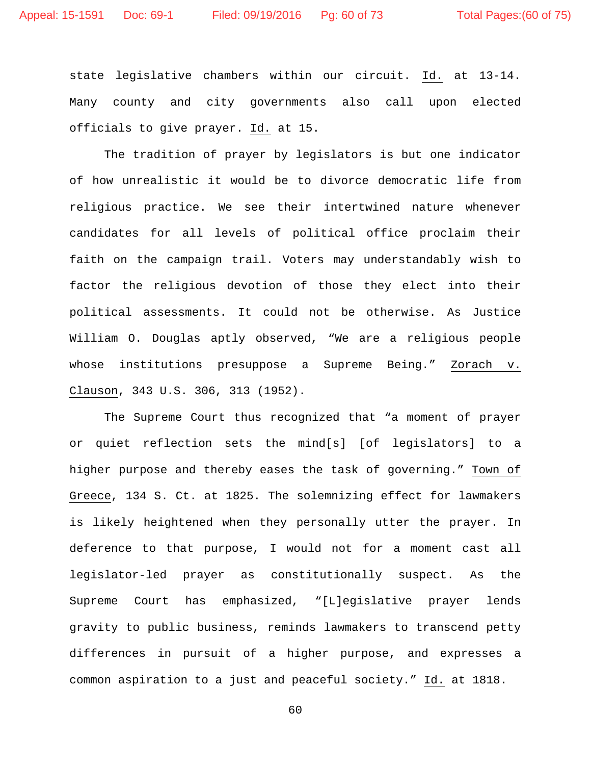state legislative chambers within our circuit. Id. at 13-14. Many county and city governments also call upon elected officials to give prayer. Id. at 15.

The tradition of prayer by legislators is but one indicator of how unrealistic it would be to divorce democratic life from religious practice. We see their intertwined nature whenever candidates for all levels of political office proclaim their faith on the campaign trail. Voters may understandably wish to factor the religious devotion of those they elect into their political assessments. It could not be otherwise. As Justice William O. Douglas aptly observed, "We are a religious people whose institutions presuppose a Supreme Being." Zorach v. Clauson, 343 U.S. 306, 313 (1952).

The Supreme Court thus recognized that "a moment of prayer or quiet reflection sets the mind[s] [of legislators] to a higher purpose and thereby eases the task of governing." Town of Greece, 134 S. Ct. at 1825. The solemnizing effect for lawmakers is likely heightened when they personally utter the prayer. In deference to that purpose, I would not for a moment cast all legislator-led prayer as constitutionally suspect. As the Supreme Court has emphasized, "[L]egislative prayer lends gravity to public business, reminds lawmakers to transcend petty differences in pursuit of a higher purpose, and expresses a common aspiration to a just and peaceful society." Id. at 1818.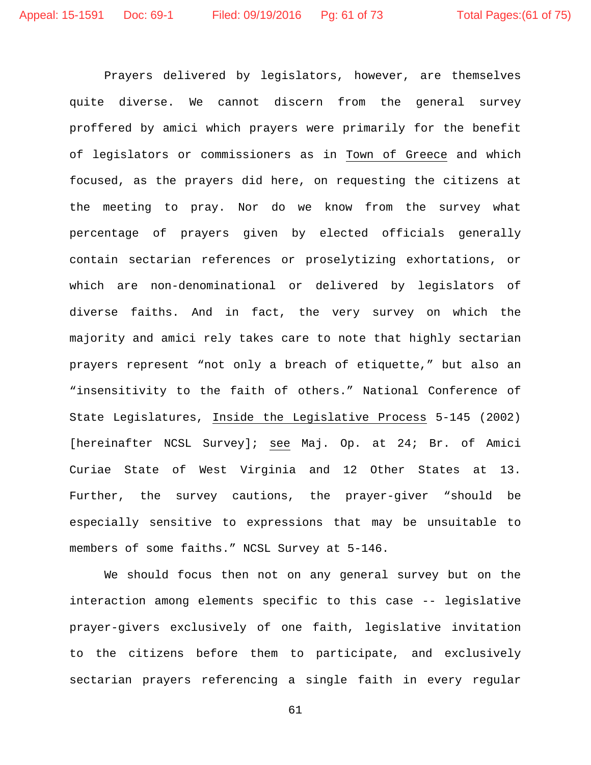Prayers delivered by legislators, however, are themselves quite diverse. We cannot discern from the general survey proffered by amici which prayers were primarily for the benefit of legislators or commissioners as in Town of Greece and which focused, as the prayers did here, on requesting the citizens at the meeting to pray. Nor do we know from the survey what percentage of prayers given by elected officials generally contain sectarian references or proselytizing exhortations, or which are non-denominational or delivered by legislators of diverse faiths. And in fact, the very survey on which the majority and amici rely takes care to note that highly sectarian prayers represent "not only a breach of etiquette," but also an "insensitivity to the faith of others." National Conference of State Legislatures, Inside the Legislative Process 5-145 (2002) [hereinafter NCSL Survey]; see Maj. Op. at 24; Br. of Amici Curiae State of West Virginia and 12 Other States at 13. Further, the survey cautions, the prayer-giver "should be especially sensitive to expressions that may be unsuitable to members of some faiths." NCSL Survey at 5-146.

We should focus then not on any general survey but on the interaction among elements specific to this case -- legislative prayer-givers exclusively of one faith, legislative invitation to the citizens before them to participate, and exclusively sectarian prayers referencing a single faith in every regular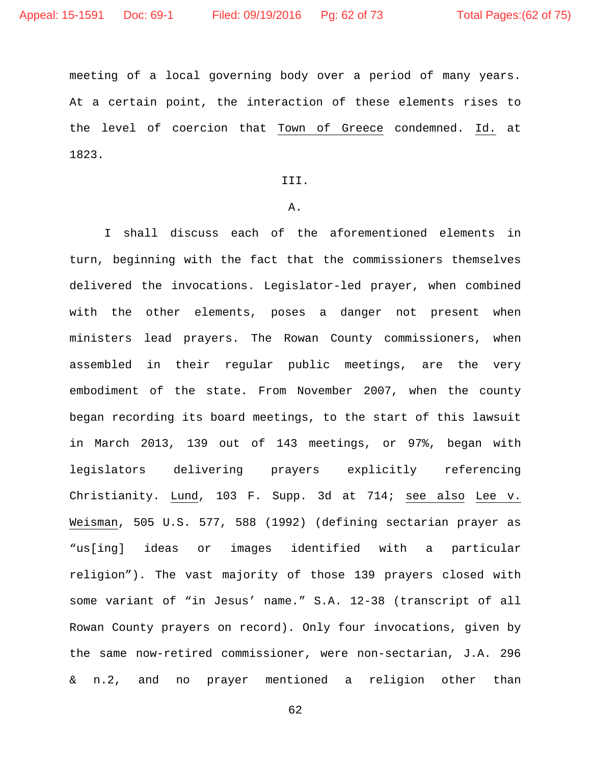meeting of a local governing body over a period of many years. At a certain point, the interaction of these elements rises to the level of coercion that Town of Greece condemned. Id. at 1823.

III.

#### A.

I shall discuss each of the aforementioned elements in turn, beginning with the fact that the commissioners themselves delivered the invocations. Legislator-led prayer, when combined with the other elements, poses a danger not present when ministers lead prayers. The Rowan County commissioners, when assembled in their regular public meetings, are the very embodiment of the state. From November 2007, when the county began recording its board meetings, to the start of this lawsuit in March 2013, 139 out of 143 meetings, or 97%, began with legislators delivering prayers explicitly referencing Christianity. Lund, 103 F. Supp. 3d at 714; see also Lee v. Weisman, 505 U.S. 577, 588 (1992) (defining sectarian prayer as "us[ing] ideas or images identified with a particular religion"). The vast majority of those 139 prayers closed with some variant of "in Jesus' name." S.A. 12-38 (transcript of all Rowan County prayers on record). Only four invocations, given by the same now-retired commissioner, were non-sectarian, J.A. 296 & n.2, and no prayer mentioned a religion other than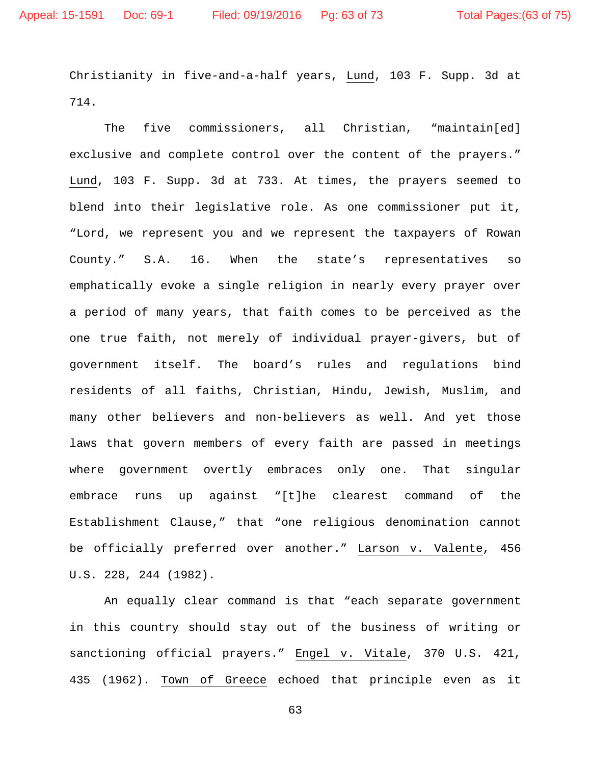Christianity in five-and-a-half years, Lund, 103 F. Supp. 3d at 714.

The five commissioners, all Christian, "maintain[ed] exclusive and complete control over the content of the prayers." Lund, 103 F. Supp. 3d at 733. At times, the prayers seemed to blend into their legislative role. As one commissioner put it, "Lord, we represent you and we represent the taxpayers of Rowan County." S.A. 16. When the state's representatives so emphatically evoke a single religion in nearly every prayer over a period of many years, that faith comes to be perceived as the one true faith, not merely of individual prayer-givers, but of government itself. The board's rules and regulations bind residents of all faiths, Christian, Hindu, Jewish, Muslim, and many other believers and non-believers as well. And yet those laws that govern members of every faith are passed in meetings where government overtly embraces only one. That singular embrace runs up against "[t]he clearest command of the Establishment Clause," that "one religious denomination cannot be officially preferred over another." Larson v. Valente, 456 U.S. 228, 244 (1982).

An equally clear command is that "each separate government in this country should stay out of the business of writing or sanctioning official prayers." Engel v. Vitale, 370 U.S. 421, 435 (1962). Town of Greece echoed that principle even as it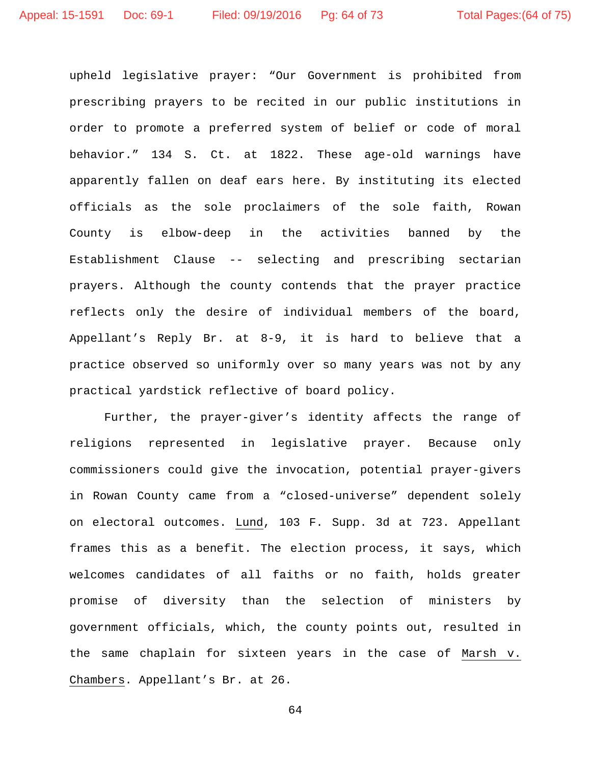upheld legislative prayer: "Our Government is prohibited from prescribing prayers to be recited in our public institutions in order to promote a preferred system of belief or code of moral behavior." 134 S. Ct. at 1822. These age-old warnings have apparently fallen on deaf ears here. By instituting its elected officials as the sole proclaimers of the sole faith, Rowan County is elbow-deep in the activities banned by the Establishment Clause -- selecting and prescribing sectarian prayers. Although the county contends that the prayer practice reflects only the desire of individual members of the board, Appellant's Reply Br. at 8-9, it is hard to believe that a practice observed so uniformly over so many years was not by any practical yardstick reflective of board policy.

Further, the prayer-giver's identity affects the range of religions represented in legislative prayer. Because only commissioners could give the invocation, potential prayer-givers in Rowan County came from a "closed-universe" dependent solely on electoral outcomes. Lund, 103 F. Supp. 3d at 723. Appellant frames this as a benefit. The election process, it says, which welcomes candidates of all faiths or no faith, holds greater promise of diversity than the selection of ministers by government officials, which, the county points out, resulted in the same chaplain for sixteen years in the case of Marsh v. Chambers. Appellant's Br. at 26.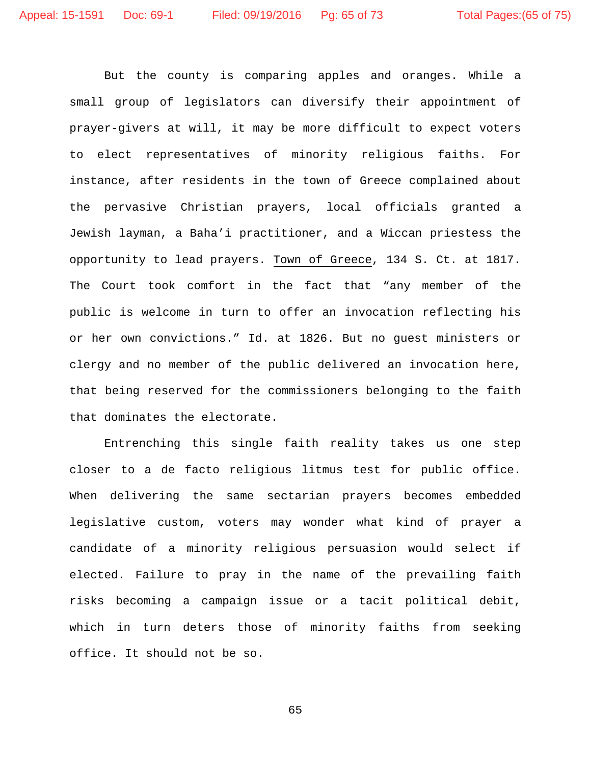But the county is comparing apples and oranges. While a small group of legislators can diversify their appointment of prayer-givers at will, it may be more difficult to expect voters to elect representatives of minority religious faiths. For instance, after residents in the town of Greece complained about the pervasive Christian prayers, local officials granted a Jewish layman, a Baha'i practitioner, and a Wiccan priestess the opportunity to lead prayers. Town of Greece, 134 S. Ct. at 1817. The Court took comfort in the fact that "any member of the public is welcome in turn to offer an invocation reflecting his or her own convictions." Id. at 1826. But no guest ministers or clergy and no member of the public delivered an invocation here, that being reserved for the commissioners belonging to the faith that dominates the electorate.

Entrenching this single faith reality takes us one step closer to a de facto religious litmus test for public office. When delivering the same sectarian prayers becomes embedded legislative custom, voters may wonder what kind of prayer a candidate of a minority religious persuasion would select if elected. Failure to pray in the name of the prevailing faith risks becoming a campaign issue or a tacit political debit, which in turn deters those of minority faiths from seeking office. It should not be so.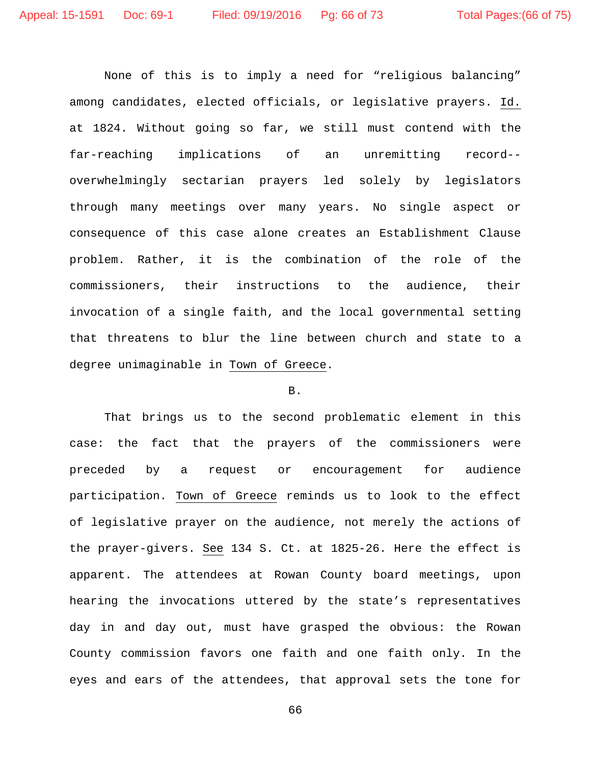None of this is to imply a need for "religious balancing" among candidates, elected officials, or legislative prayers. Id. at 1824. Without going so far, we still must contend with the far-reaching implications of an unremitting record- overwhelmingly sectarian prayers led solely by legislators through many meetings over many years. No single aspect or consequence of this case alone creates an Establishment Clause problem. Rather, it is the combination of the role of the commissioners, their instructions to the audience, their invocation of a single faith, and the local governmental setting that threatens to blur the line between church and state to a degree unimaginable in Town of Greece.

## B.

That brings us to the second problematic element in this case: the fact that the prayers of the commissioners were preceded by a request or encouragement for audience participation. Town of Greece reminds us to look to the effect of legislative prayer on the audience, not merely the actions of the prayer-givers. See 134 S. Ct. at 1825-26. Here the effect is apparent. The attendees at Rowan County board meetings, upon hearing the invocations uttered by the state's representatives day in and day out, must have grasped the obvious: the Rowan County commission favors one faith and one faith only. In the eyes and ears of the attendees, that approval sets the tone for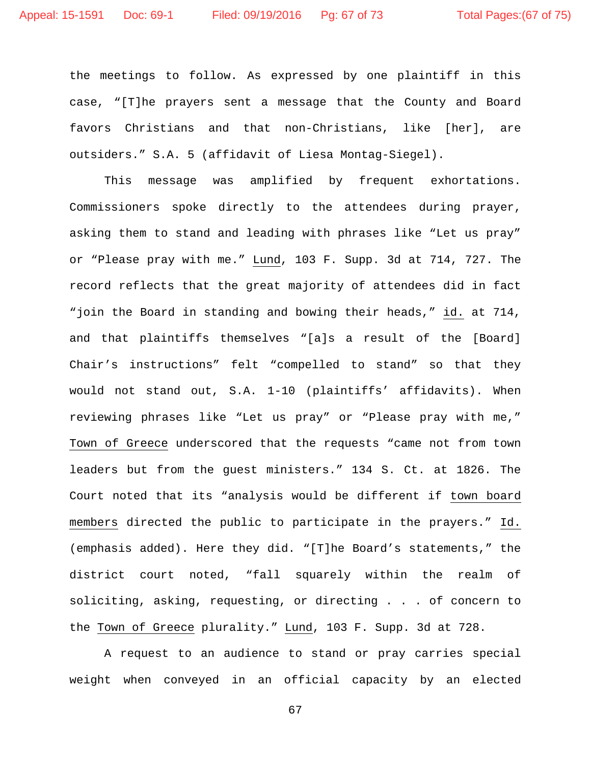the meetings to follow. As expressed by one plaintiff in this case, "[T]he prayers sent a message that the County and Board favors Christians and that non-Christians, like [her], are outsiders." S.A. 5 (affidavit of Liesa Montag-Siegel).

This message was amplified by frequent exhortations. Commissioners spoke directly to the attendees during prayer, asking them to stand and leading with phrases like "Let us pray" or "Please pray with me." Lund, 103 F. Supp. 3d at 714, 727. The record reflects that the great majority of attendees did in fact "join the Board in standing and bowing their heads," id. at 714, and that plaintiffs themselves "[a]s a result of the [Board] Chair's instructions" felt "compelled to stand" so that they would not stand out, S.A. 1-10 (plaintiffs' affidavits). When reviewing phrases like "Let us pray" or "Please pray with me," Town of Greece underscored that the requests "came not from town leaders but from the guest ministers." 134 S. Ct. at 1826. The Court noted that its "analysis would be different if town board members directed the public to participate in the prayers." Id. (emphasis added). Here they did. "[T]he Board's statements," the district court noted, "fall squarely within the realm of soliciting, asking, requesting, or directing . . . of concern to the Town of Greece plurality." Lund, 103 F. Supp. 3d at 728.

A request to an audience to stand or pray carries special weight when conveyed in an official capacity by an elected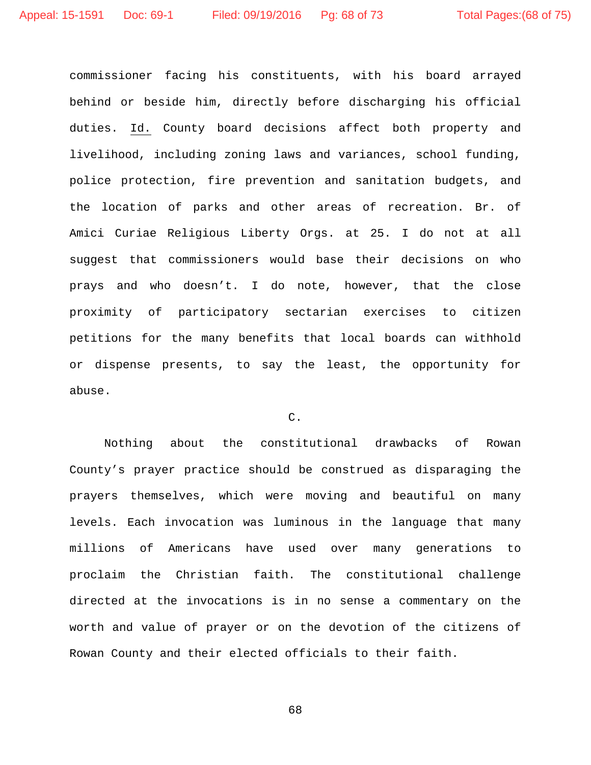commissioner facing his constituents, with his board arrayed behind or beside him, directly before discharging his official duties. Id. County board decisions affect both property and livelihood, including zoning laws and variances, school funding, police protection, fire prevention and sanitation budgets, and the location of parks and other areas of recreation. Br. of Amici Curiae Religious Liberty Orgs. at 25. I do not at all suggest that commissioners would base their decisions on who prays and who doesn't. I do note, however, that the close proximity of participatory sectarian exercises to citizen petitions for the many benefits that local boards can withhold or dispense presents, to say the least, the opportunity for abuse.

# C.

Nothing about the constitutional drawbacks of Rowan County's prayer practice should be construed as disparaging the prayers themselves, which were moving and beautiful on many levels. Each invocation was luminous in the language that many millions of Americans have used over many generations to proclaim the Christian faith. The constitutional challenge directed at the invocations is in no sense a commentary on the worth and value of prayer or on the devotion of the citizens of Rowan County and their elected officials to their faith.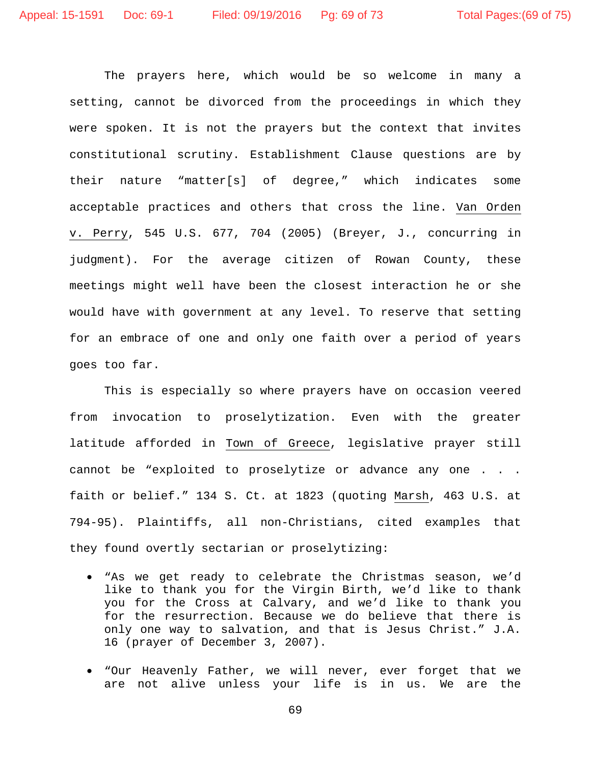The prayers here, which would be so welcome in many a setting, cannot be divorced from the proceedings in which they were spoken. It is not the prayers but the context that invites constitutional scrutiny. Establishment Clause questions are by their nature "matter[s] of degree," which indicates some acceptable practices and others that cross the line. Van Orden v. Perry, 545 U.S. 677, 704 (2005) (Breyer, J., concurring in judgment). For the average citizen of Rowan County, these meetings might well have been the closest interaction he or she would have with government at any level. To reserve that setting for an embrace of one and only one faith over a period of years goes too far.

This is especially so where prayers have on occasion veered from invocation to proselytization. Even with the greater latitude afforded in Town of Greece, legislative prayer still cannot be "exploited to proselytize or advance any one . . . faith or belief." 134 S. Ct. at 1823 (quoting Marsh, 463 U.S. at 794-95). Plaintiffs, all non-Christians, cited examples that they found overtly sectarian or proselytizing:

- "As we get ready to celebrate the Christmas season, we'd like to thank you for the Virgin Birth, we'd like to thank you for the Cross at Calvary, and we'd like to thank you for the resurrection. Because we do believe that there is only one way to salvation, and that is Jesus Christ." J.A. 16 (prayer of December 3, 2007).
- "Our Heavenly Father, we will never, ever forget that we are not alive unless your life is in us. We are the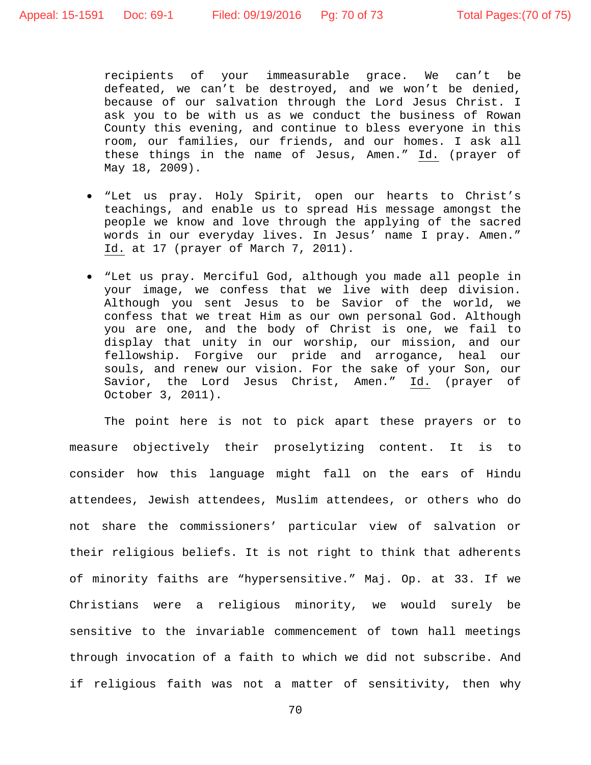recipients of your immeasurable grace. We can't be defeated, we can't be destroyed, and we won't be denied, because of our salvation through the Lord Jesus Christ. I ask you to be with us as we conduct the business of Rowan County this evening, and continue to bless everyone in this room, our families, our friends, and our homes. I ask all these things in the name of Jesus, Amen." Id. (prayer of May 18, 2009).

- "Let us pray. Holy Spirit, open our hearts to Christ's teachings, and enable us to spread His message amongst the people we know and love through the applying of the sacred words in our everyday lives. In Jesus' name I pray. Amen." Id. at 17 (prayer of March 7, 2011).
- "Let us pray. Merciful God, although you made all people in your image, we confess that we live with deep division. Although you sent Jesus to be Savior of the world, we confess that we treat Him as our own personal God. Although you are one, and the body of Christ is one, we fail to display that unity in our worship, our mission, and our fellowship. Forgive our pride and arrogance, heal our souls, and renew our vision. For the sake of your Son, our Savior, the Lord Jesus Christ, Amen." Id. (prayer of October 3, 2011).

The point here is not to pick apart these prayers or to measure objectively their proselytizing content. It is to consider how this language might fall on the ears of Hindu attendees, Jewish attendees, Muslim attendees, or others who do not share the commissioners' particular view of salvation or their religious beliefs. It is not right to think that adherents of minority faiths are "hypersensitive." Maj. Op. at 33. If we Christians were a religious minority, we would surely be sensitive to the invariable commencement of town hall meetings through invocation of a faith to which we did not subscribe. And if religious faith was not a matter of sensitivity, then why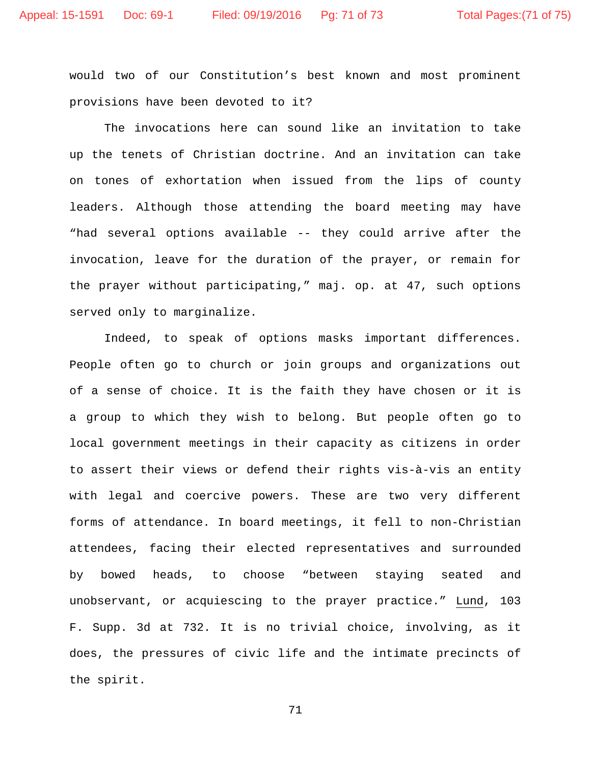would two of our Constitution's best known and most prominent provisions have been devoted to it?

The invocations here can sound like an invitation to take up the tenets of Christian doctrine. And an invitation can take on tones of exhortation when issued from the lips of county leaders. Although those attending the board meeting may have "had several options available -- they could arrive after the invocation, leave for the duration of the prayer, or remain for the prayer without participating," maj. op. at 47, such options served only to marginalize.

Indeed, to speak of options masks important differences. People often go to church or join groups and organizations out of a sense of choice. It is the faith they have chosen or it is a group to which they wish to belong. But people often go to local government meetings in their capacity as citizens in order to assert their views or defend their rights vis-à-vis an entity with legal and coercive powers. These are two very different forms of attendance. In board meetings, it fell to non-Christian attendees, facing their elected representatives and surrounded by bowed heads, to choose "between staying seated and unobservant, or acquiescing to the prayer practice." Lund, 103 F. Supp. 3d at 732. It is no trivial choice, involving, as it does, the pressures of civic life and the intimate precincts of the spirit.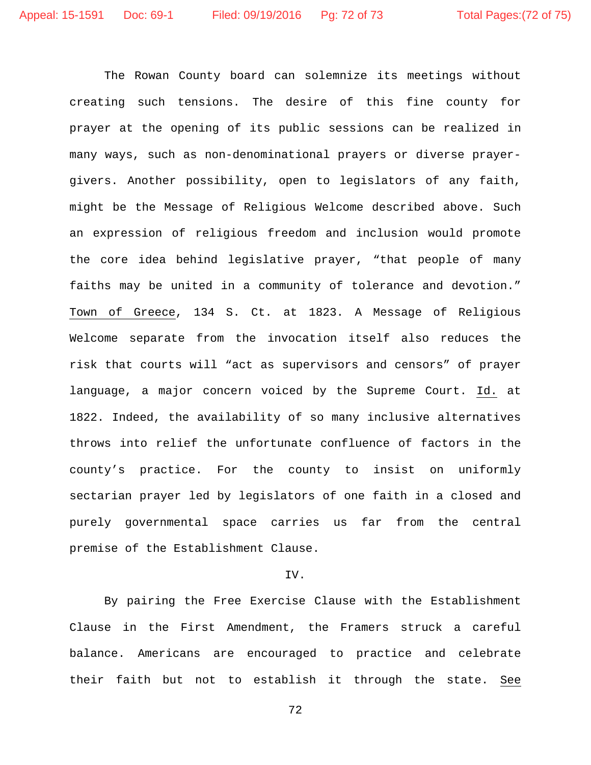The Rowan County board can solemnize its meetings without creating such tensions. The desire of this fine county for prayer at the opening of its public sessions can be realized in many ways, such as non-denominational prayers or diverse prayergivers. Another possibility, open to legislators of any faith, might be the Message of Religious Welcome described above. Such an expression of religious freedom and inclusion would promote the core idea behind legislative prayer, "that people of many faiths may be united in a community of tolerance and devotion." Town of Greece, 134 S. Ct. at 1823. A Message of Religious Welcome separate from the invocation itself also reduces the risk that courts will "act as supervisors and censors" of prayer language, a major concern voiced by the Supreme Court. Id. at 1822. Indeed, the availability of so many inclusive alternatives throws into relief the unfortunate confluence of factors in the county's practice. For the county to insist on uniformly sectarian prayer led by legislators of one faith in a closed and purely governmental space carries us far from the central premise of the Establishment Clause.

#### IV.

By pairing the Free Exercise Clause with the Establishment Clause in the First Amendment, the Framers struck a careful balance. Americans are encouraged to practice and celebrate their faith but not to establish it through the state. See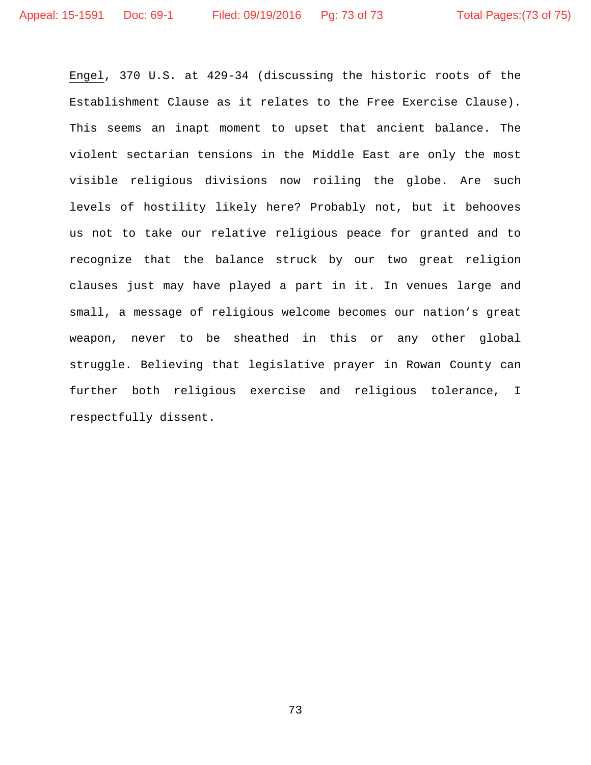Engel, 370 U.S. at 429-34 (discussing the historic roots of the Establishment Clause as it relates to the Free Exercise Clause). This seems an inapt moment to upset that ancient balance. The violent sectarian tensions in the Middle East are only the most visible religious divisions now roiling the globe. Are such levels of hostility likely here? Probably not, but it behooves us not to take our relative religious peace for granted and to recognize that the balance struck by our two great religion clauses just may have played a part in it. In venues large and small, a message of religious welcome becomes our nation's great weapon, never to be sheathed in this or any other global struggle. Believing that legislative prayer in Rowan County can further both religious exercise and religious tolerance, I respectfully dissent.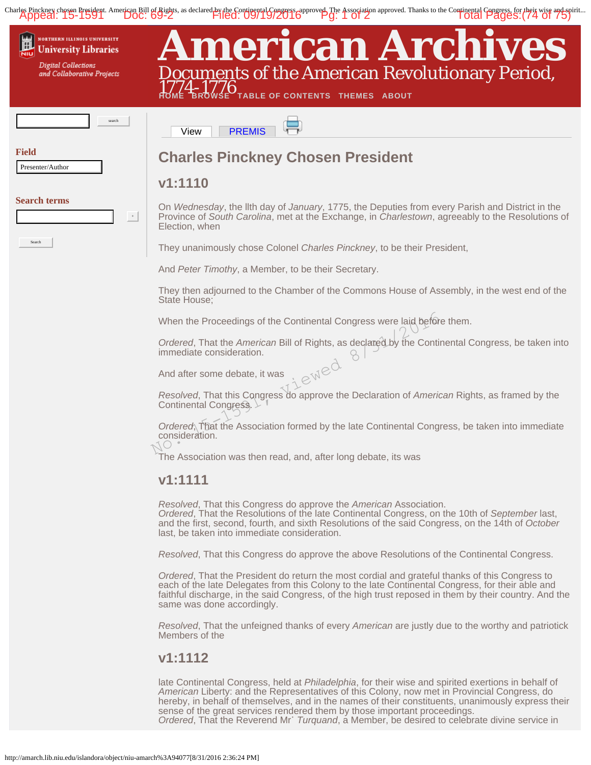<span id="page-73-0"></span>Charles Pinckney chosen President. American Bill of Rights, as declared by the Continental Congress, epproved. The Association approved. Thanks to the Continental Congress, for their wise and spirit...<br>Appeal: 15-1591 DOC:



*Resolved*, That this Congress do approve the Declaration of *American* Rights, as framed by the Continental Congress.

*Ordered*, That the Association formed by the late Continental Congress, be taken into immediate consideration.

The Association was then read, and, after long debate, its was

## **v1:1111**

*Resolved*, That this Congress do approve the *American* Association.

*Ordered*, That the Resolutions of the late Continental Congress, on the 10th of *September* last, and the first, second, fourth, and sixth Resolutions of the said Congress, on the 14th of *October* last, be taken into immediate consideration.

*Resolved*, That this Congress do approve the above Resolutions of the Continental Congress.

*Ordered*, That the President do return the most cordial and grateful thanks of this Congress to each of the late Delegates from this Colony to the late Continental Congress, for their able and faithful discharge, in the said Congress, of the high trust reposed in them by their country. And the same was done accordingly.

*Resolved*, That the unfeigned thanks of every *American* are justly due to the worthy and patriotick Members of the

## **v1:1112**

late Continental Congress, held at *Philadelphia*, for their wise and spirited exertions in behalf of *American* Liberty: and the Representatives of this Colony, now met in Provincial Congress, do hereby, in behalf of themselves, and in the names of their constituents, unanimously express their sense of the great services rendered them by those important proceedings. *Ordered*, That the Reverend Mr˙ *Turquand*, a Member, be desired to celebrate divine service in